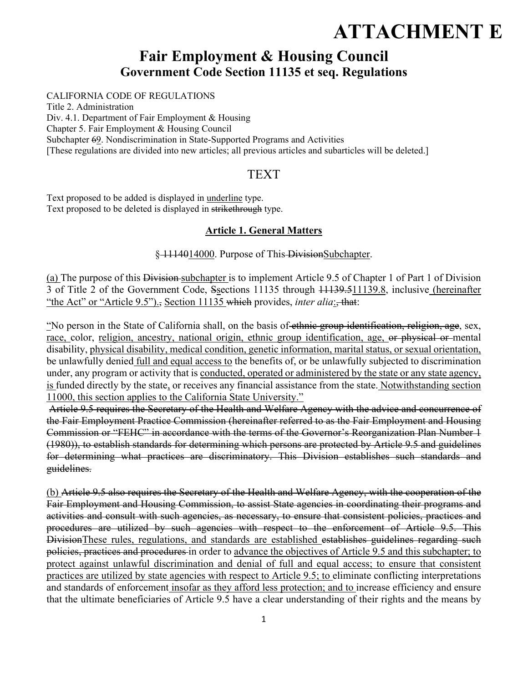# **ATTACHMENT E**

## **Fair Employment & Housing Council Government Code Section 11135 et seq. Regulations**

#### CALIFORNIA CODE OF REGULATIONS

Title 2. Administration Div. 4.1. Department of Fair Employment & Housing Chapter 5. Fair Employment & Housing Council Subchapter 69. Nondiscrimination in State-Supported Programs and Activities [These regulations are divided into new articles; all previous articles and subarticles will be deleted.]

## TEXT

Text proposed to be added is displayed in underline type. Text proposed to be deleted is displayed in strikethrough type.

#### **Article 1. General Matters**

§ 1114014000. Purpose of This-DivisionSubchapter.

(a) The purpose of this Division subchapter is to implement Article 9.5 of Chapter 1 of Part 1 of Division 3 of Title 2 of the Government Code, Ssections 11135 through 11139.511139.8, inclusive (hereinafter "the Act" or "Article 9.5")., Section 11135 which provides, *inter alia*:

"No person in the State of California shall, on the basis of ethnic group identification, religion, age, sex, race, color, religion, ancestry, national origin, ethnic group identification, age, or physical or mental disability, physical disability, medical condition, genetic information, marital status, or sexual orientation, be unlawfully denied full and equal access to the benefits of, or be unlawfully subjected to discrimination under, any program or activity that is conducted, operated or administered by the state or any state agency, is funded directly by the state, or receives any financial assistance from the state. Notwithstanding section 11000, this section applies to the California State University."

 Article 9.5 requires the Secretary of the Health and Welfare Agency with the advice and concurrence of the Fair Employment Practice Commission (hereinafter referred to as the Fair Employment and Housing Commission or "FEHC" in accordance with the terms of the Governor's Reorganization Plan Number 1 (1980)), to establish standards for determining which persons are protected by Article 9.5 and guidelines for determining what practices are discriminatory. This Division establishes such standards and guidelines.

(b) Article 9.5 also requires the Secretary of the Health and Welfare Agency, with the cooperation of the Fair Employment and Housing Commission, to assist State agencies in coordinating their programs and activities and consult with such agencies, as necessary, to ensure that consistent policies, practices and procedures are utilized by such agencies with respect to the enforcement of Article 9.5. This DivisionThese rules, regulations, and standards are established establishes guidelines regarding such policies, practices and procedures in order to advance the objectives of Article 9.5 and this subchapter; to protect against unlawful discrimination and denial of full and equal access; to ensure that consistent practices are utilized by state agencies with respect to Article 9.5; to eliminate conflicting interpretations and standards of enforcement insofar as they afford less protection; and to increase efficiency and ensure that the ultimate beneficiaries of Article 9.5 have a clear understanding of their rights and the means by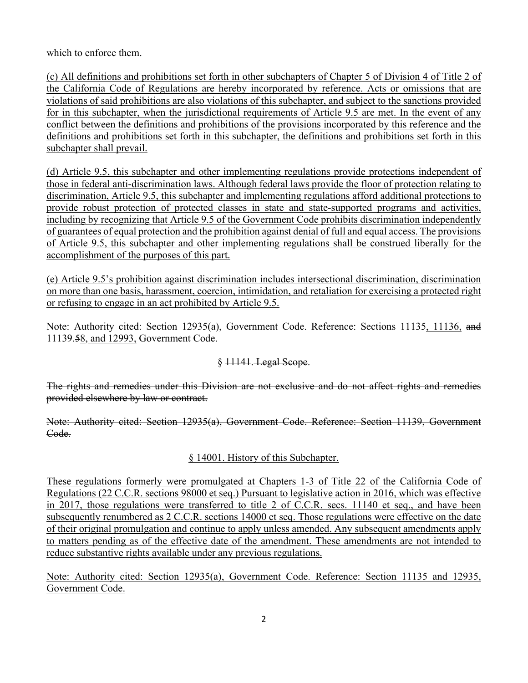which to enforce them.

(c) All definitions and prohibitions set forth in other subchapters of Chapter 5 of Division 4 of Title 2 of the California Code of Regulations are hereby incorporated by reference. Acts or omissions that are violations of said prohibitions are also violations of this subchapter, and subject to the sanctions provided for in this subchapter, when the jurisdictional requirements of Article 9.5 are met. In the event of any conflict between the definitions and prohibitions of the provisions incorporated by this reference and the definitions and prohibitions set forth in this subchapter, the definitions and prohibitions set forth in this subchapter shall prevail.

(d) Article 9.5, this subchapter and other implementing regulations provide protections independent of those in federal anti-discrimination laws. Although federal laws provide the floor of protection relating to discrimination, Article 9.5, this subchapter and implementing regulations afford additional protections to provide robust protection of protected classes in state and state-supported programs and activities, including by recognizing that Article 9.5 of the Government Code prohibits discrimination independently of guarantees of equal protection and the prohibition against denial of full and equal access. The provisions of Article 9.5, this subchapter and other implementing regulations shall be construed liberally for the accomplishment of the purposes of this part.

(e) Article 9.5's prohibition against discrimination includes intersectional discrimination, discrimination on more than one basis, harassment, coercion, intimidation, and retaliation for exercising a protected right or refusing to engage in an act prohibited by Article 9.5.

Note: Authority cited: Section 12935(a), Government Code. Reference: Sections 11135, 11136, and 11139.58, and 12993, Government Code.

## § 11141. Legal Scope.

The rights and remedies under this Division are not exclusive and do not affect rights and remedies provided elsewhere by law or contract.

Note: Authority cited: Section 12935(a), Government Code. Reference: Section 11139, Government Code.

## § 14001. History of this Subchapter.

These regulations formerly were promulgated at Chapters 1-3 of Title 22 of the California Code of Regulations (22 C.C.R. sections 98000 et seq.) Pursuant to legislative action in 2016, which was effective in 2017, those regulations were transferred to title 2 of C.C.R. secs. 11140 et seq., and have been subsequently renumbered as 2 C.C.R. sections 14000 et seq. Those regulations were effective on the date of their original promulgation and continue to apply unless amended. Any subsequent amendments apply to matters pending as of the effective date of the amendment. These amendments are not intended to reduce substantive rights available under any previous regulations.

Note: Authority cited: Section 12935(a), Government Code. Reference: Section 11135 and 12935, Government Code.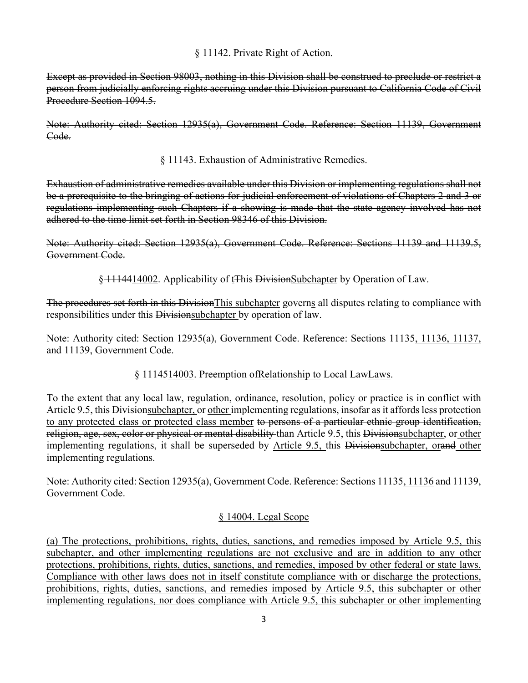#### § 11142. Private Right of Action.

Except as provided in Section 98003, nothing in this Division shall be construed to preclude or restrict a person from judicially enforcing rights accruing under this Division pursuant to California Code of Civil Procedure Section 1094.5.

Note: Authority cited: Section 12935(a), Government Code. Reference: Section 11139, Government Code.

#### § 11143. Exhaustion of Administrative Remedies.

Exhaustion of administrative remedies available under this Division or implementing regulations shall not be a prerequisite to the bringing of actions for judicial enforcement of violations of Chapters 2 and 3 or regulations implementing such Chapters if a showing is made that the state agency involved has not adhered to the time limit set forth in Section 98346 of this Division.

Note: Authority cited: Section 12935(a), Government Code. Reference: Sections 11139 and 11139.5, Government Code.

§ 1114414002. Applicability of t<sub>t</sub>This DivisionSubchapter by Operation of Law.

The procedures set forth in this DivisionThis subchapter governs all disputes relating to compliance with responsibilities under this Divisionsubchapter by operation of law.

Note: Authority cited: Section 12935(a), Government Code. Reference: Sections 11135, 11136, 11137, and 11139, Government Code.

## § 1114514003. Preemption of Relationship to Local LawLaws.

To the extent that any local law, regulation, ordinance, resolution, policy or practice is in conflict with Article 9.5, this Division subchapter, or other implementing regulations, insofar as it affords less protection to any protected class or protected class member to persons of a particular ethnic group identification, religion, age, sex, color or physical or mental disability than Article 9.5, this Divisionsubchapter, or other implementing regulations, it shall be superseded by Article 9.5, this Divisionsubchapter, orand other implementing regulations.

Note: Authority cited: Section 12935(a), Government Code. Reference: Sections 11135, 11136 and 11139, Government Code.

## § 14004. Legal Scope

(a) The protections, prohibitions, rights, duties, sanctions, and remedies imposed by Article 9.5, this subchapter, and other implementing regulations are not exclusive and are in addition to any other protections, prohibitions, rights, duties, sanctions, and remedies, imposed by other federal or state laws. Compliance with other laws does not in itself constitute compliance with or discharge the protections, prohibitions, rights, duties, sanctions, and remedies imposed by Article 9.5, this subchapter or other implementing regulations, nor does compliance with Article 9.5, this subchapter or other implementing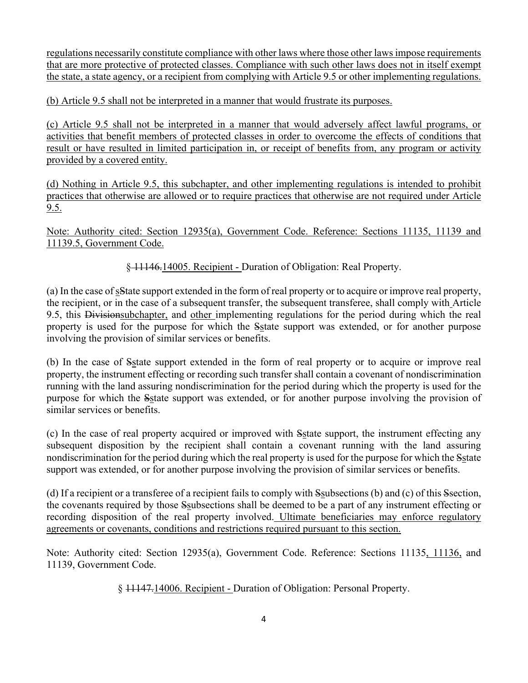regulations necessarily constitute compliance with other laws where those other laws impose requirements that are more protective of protected classes. Compliance with such other laws does not in itself exempt the state, a state agency, or a recipient from complying with Article 9.5 or other implementing regulations.

(b) Article 9.5 shall not be interpreted in a manner that would frustrate its purposes.

(c) Article 9.5 shall not be interpreted in a manner that would adversely affect lawful programs, or activities that benefit members of protected classes in order to overcome the effects of conditions that result or have resulted in limited participation in, or receipt of benefits from, any program or activity provided by a covered entity.

(d) Nothing in Article 9.5, this subchapter, and other implementing regulations is intended to prohibit practices that otherwise are allowed or to require practices that otherwise are not required under Article 9.5.

Note: Authority cited: Section 12935(a), Government Code. Reference: Sections 11135, 11139 and 11139.5, Government Code.

§ 11146.14005. Recipient - Duration of Obligation: Real Property.

(a) In the case of sState support extended in the form of real property or to acquire or improve real property, the recipient, or in the case of a subsequent transfer, the subsequent transferee, shall comply with Article 9.5, this Divisionsubchapter, and other implementing regulations for the period during which the real property is used for the purpose for which the Sstate support was extended, or for another purpose involving the provision of similar services or benefits.

(b) In the case of Sstate support extended in the form of real property or to acquire or improve real property, the instrument effecting or recording such transfer shall contain a covenant of nondiscrimination running with the land assuring nondiscrimination for the period during which the property is used for the purpose for which the Sstate support was extended, or for another purpose involving the provision of similar services or benefits.

(c) In the case of real property acquired or improved with Sstate support, the instrument effecting any subsequent disposition by the recipient shall contain a covenant running with the land assuring nondiscrimination for the period during which the real property is used for the purpose for which the Sstate support was extended, or for another purpose involving the provision of similar services or benefits.

(d) If a recipient or a transferee of a recipient fails to comply with Ssubsections (b) and (c) of this Ssection, the covenants required by those Ssubsections shall be deemed to be a part of any instrument effecting or recording disposition of the real property involved. Ultimate beneficiaries may enforce regulatory agreements or covenants, conditions and restrictions required pursuant to this section.

Note: Authority cited: Section 12935(a), Government Code. Reference: Sections 11135, 11136, and 11139, Government Code.

§ 11147.14006. Recipient - Duration of Obligation: Personal Property.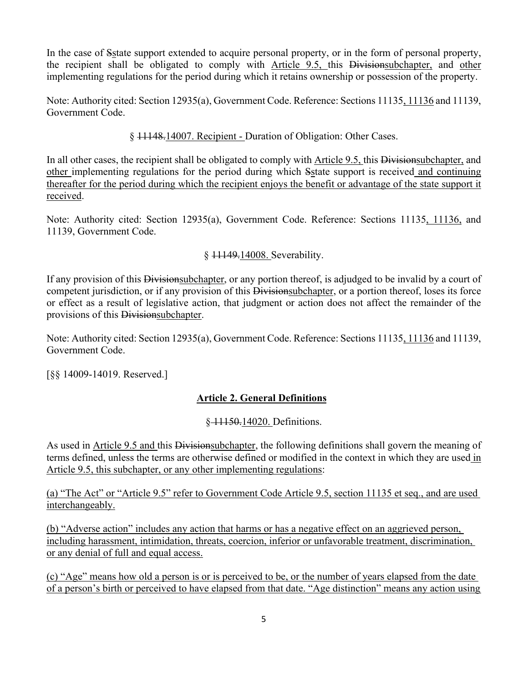In the case of Sstate support extended to acquire personal property, or in the form of personal property, the recipient shall be obligated to comply with Article 9.5, this Divisionsubchapter, and other implementing regulations for the period during which it retains ownership or possession of the property.

Note: Authority cited: Section 12935(a), Government Code. Reference: Sections 11135, 11136 and 11139, Government Code.

§ 11148.14007. Recipient - Duration of Obligation: Other Cases.

In all other cases, the recipient shall be obligated to comply with Article 9.5, this Divisionsubchapter, and other implementing regulations for the period during which Sstate support is received and continuing thereafter for the period during which the recipient enjoys the benefit or advantage of the state support it received.

Note: Authority cited: Section 12935(a), Government Code. Reference: Sections 11135, 11136, and 11139, Government Code.

§ 11149.14008. Severability.

If any provision of this Divisionsubchapter, or any portion thereof, is adjudged to be invalid by a court of competent jurisdiction, or if any provision of this Divisionsubchapter, or a portion thereof, loses its force or effect as a result of legislative action, that judgment or action does not affect the remainder of the provisions of this Divisionsubchapter.

Note: Authority cited: Section 12935(a), Government Code. Reference: Sections 11135, 11136 and 11139, Government Code.

[§§ 14009-14019. Reserved.]

## **Article 2. General Definitions**

## § 11150.14020. Definitions.

As used in Article 9.5 and this Divisionsubchapter, the following definitions shall govern the meaning of terms defined, unless the terms are otherwise defined or modified in the context in which they are used in Article 9.5, this subchapter, or any other implementing regulations:

(a) "The Act" or "Article 9.5" refer to Government Code Article 9.5, section 11135 et seq., and are used interchangeably.

(b) "Adverse action" includes any action that harms or has a negative effect on an aggrieved person, including harassment, intimidation, threats, coercion, inferior or unfavorable treatment, discrimination, or any denial of full and equal access.

(c) "Age" means how old a person is or is perceived to be, or the number of years elapsed from the date of a person's birth or perceived to have elapsed from that date. "Age distinction" means any action using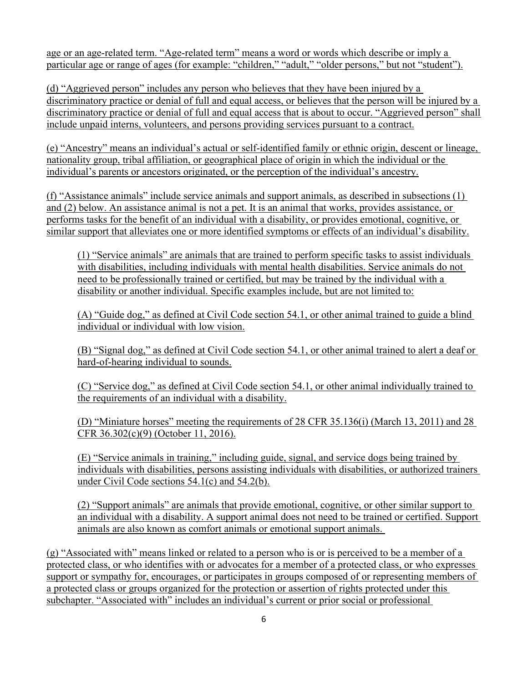age or an age-related term. "Age-related term" means a word or words which describe or imply a particular age or range of ages (for example: "children," "adult," "older persons," but not "student").

(d) "Aggrieved person" includes any person who believes that they have been injured by a discriminatory practice or denial of full and equal access, or believes that the person will be injured by a discriminatory practice or denial of full and equal access that is about to occur. "Aggrieved person" shall include unpaid interns, volunteers, and persons providing services pursuant to a contract.

(e) "Ancestry" means an individual's actual or self-identified family or ethnic origin, descent or lineage, nationality group, tribal affiliation, or geographical place of origin in which the individual or the individual's parents or ancestors originated, or the perception of the individual's ancestry.

(f) "Assistance animals" include service animals and support animals, as described in subsections (1) and (2) below. An assistance animal is not a pet. It is an animal that works, provides assistance, or performs tasks for the benefit of an individual with a disability, or provides emotional, cognitive, or similar support that alleviates one or more identified symptoms or effects of an individual's disability.

(1) "Service animals" are animals that are trained to perform specific tasks to assist individuals with disabilities, including individuals with mental health disabilities. Service animals do not need to be professionally trained or certified, but may be trained by the individual with a disability or another individual. Specific examples include, but are not limited to:

(A) "Guide dog," as defined at Civil Code section 54.1, or other animal trained to guide a blind individual or individual with low vision.

(B) "Signal dog," as defined at Civil Code section 54.1, or other animal trained to alert a deaf or hard-of-hearing individual to sounds.

(C) "Service dog," as defined at Civil Code section 54.1, or other animal individually trained to the requirements of an individual with a disability.

(D) "Miniature horses" meeting the requirements of 28 CFR 35.136(i) (March 13, 2011) and 28 CFR 36.302(c)(9) (October 11, 2016).

(E) "Service animals in training," including guide, signal, and service dogs being trained by individuals with disabilities, persons assisting individuals with disabilities, or authorized trainers under Civil Code sections 54.1(c) and 54.2(b).

(2) "Support animals" are animals that provide emotional, cognitive, or other similar support to an individual with a disability. A support animal does not need to be trained or certified. Support animals are also known as comfort animals or emotional support animals.

(g) "Associated with" means linked or related to a person who is or is perceived to be a member of a protected class, or who identifies with or advocates for a member of a protected class, or who expresses support or sympathy for, encourages, or participates in groups composed of or representing members of a protected class or groups organized for the protection or assertion of rights protected under this subchapter. "Associated with" includes an individual's current or prior social or professional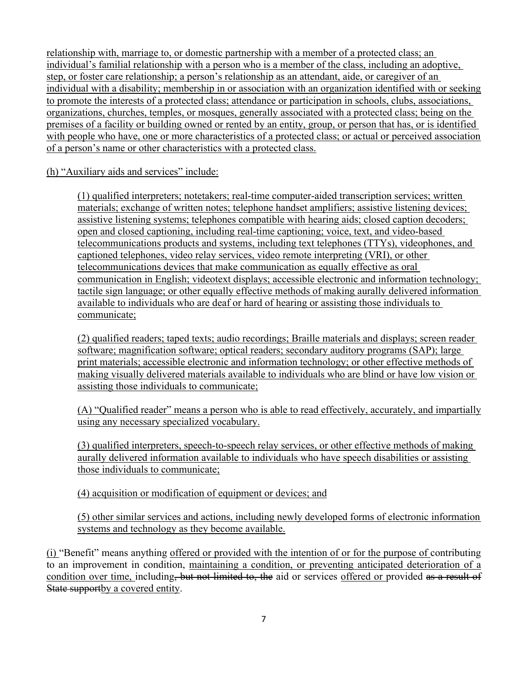relationship with, marriage to, or domestic partnership with a member of a protected class; an individual's familial relationship with a person who is a member of the class, including an adoptive, step, or foster care relationship; a person's relationship as an attendant, aide, or caregiver of an individual with a disability; membership in or association with an organization identified with or seeking to promote the interests of a protected class; attendance or participation in schools, clubs, associations, organizations, churches, temples, or mosques, generally associated with a protected class; being on the premises of a facility or building owned or rented by an entity, group, or person that has, or is identified with people who have, one or more characteristics of a protected class; or actual or perceived association of a person's name or other characteristics with a protected class.

#### (h) "Auxiliary aids and services" include:

(1) qualified interpreters; notetakers; real-time computer-aided transcription services; written materials; exchange of written notes; telephone handset amplifiers; assistive listening devices; assistive listening systems; telephones compatible with hearing aids; closed caption decoders; open and closed captioning, including real-time captioning; voice, text, and video-based telecommunications products and systems, including text telephones (TTYs), videophones, and captioned telephones, video relay services, video remote interpreting (VRI), or other telecommunications devices that make communication as equally effective as oral communication in English; videotext displays; accessible electronic and information technology; tactile sign language; or other equally effective methods of making aurally delivered information available to individuals who are deaf or hard of hearing or assisting those individuals to communicate;

(2) qualified readers; taped texts; audio recordings; Braille materials and displays; screen reader software; magnification software; optical readers; secondary auditory programs (SAP); large print materials; accessible electronic and information technology; or other effective methods of making visually delivered materials available to individuals who are blind or have low vision or assisting those individuals to communicate;

(A) "Qualified reader" means a person who is able to read effectively, accurately, and impartially using any necessary specialized vocabulary.

(3) qualified interpreters, speech-to-speech relay services, or other effective methods of making aurally delivered information available to individuals who have speech disabilities or assisting those individuals to communicate;

(4) acquisition or modification of equipment or devices; and

(5) other similar services and actions, including newly developed forms of electronic information systems and technology as they become available.

(i) "Benefit" means anything offered or provided with the intention of or for the purpose of contributing to an improvement in condition, maintaining a condition, or preventing anticipated deterioration of a condition over time, including, but not limited to, the aid or services offered or provided as a result of State supportby a covered entity.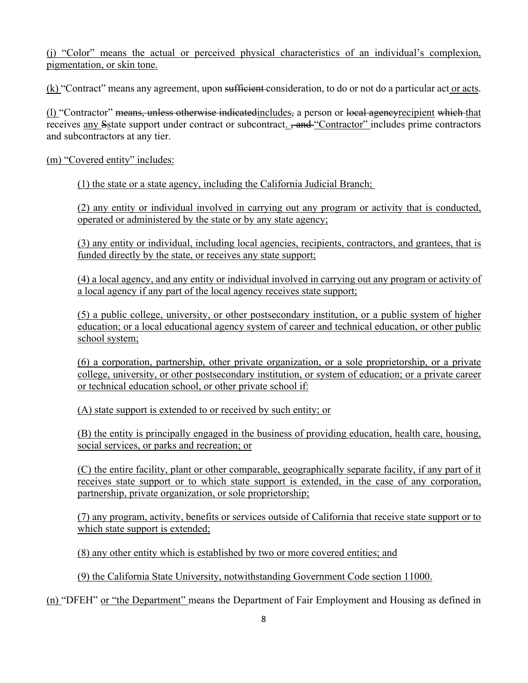(j) "Color" means the actual or perceived physical characteristics of an individual's complexion, pigmentation, or skin tone.

(k) "Contract" means any agreement, upon sufficient consideration, to do or not do a particular act or acts.

(l) "Contractor" means, unless otherwise indicatedincludes, a person or local agencyrecipient which that receives any Sstate support under contract or subcontract. <del>, and</del> "Contractor" includes prime contractors and subcontractors at any tier.

(m) "Covered entity" includes:

(1) the state or a state agency, including the California Judicial Branch;

(2) any entity or individual involved in carrying out any program or activity that is conducted, operated or administered by the state or by any state agency;

(3) any entity or individual, including local agencies, recipients, contractors, and grantees, that is funded directly by the state, or receives any state support;

(4) a local agency, and any entity or individual involved in carrying out any program or activity of a local agency if any part of the local agency receives state support;

(5) a public college, university, or other postsecondary institution, or a public system of higher education; or a local educational agency system of career and technical education, or other public school system;

(6) a corporation, partnership, other private organization, or a sole proprietorship, or a private college, university, or other postsecondary institution, or system of education; or a private career or technical education school, or other private school if:

(A) state support is extended to or received by such entity; or

(B) the entity is principally engaged in the business of providing education, health care, housing, social services, or parks and recreation; or

(C) the entire facility, plant or other comparable, geographically separate facility, if any part of it receives state support or to which state support is extended, in the case of any corporation, partnership, private organization, or sole proprietorship;

(7) any program, activity, benefits or services outside of California that receive state support or to which state support is extended;

(8) any other entity which is established by two or more covered entities; and

(9) the California State University, notwithstanding Government Code section 11000.

(n) "DFEH" or "the Department" means the Department of Fair Employment and Housing as defined in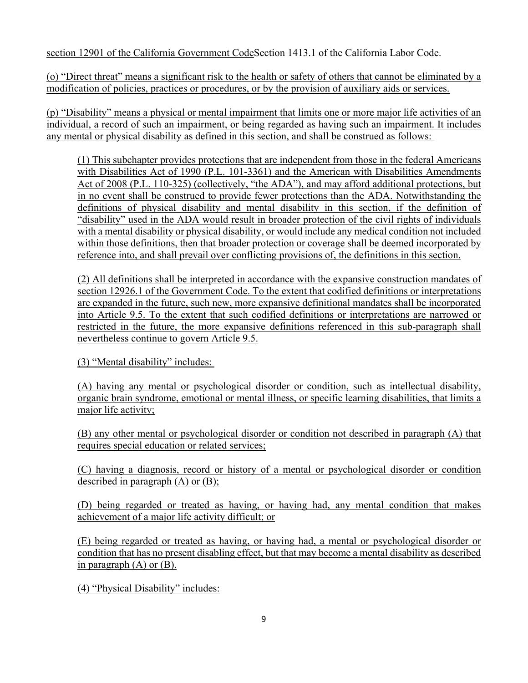section 12901 of the California Government CodeSection 1413.1 of the California Labor Code.

(o) "Direct threat" means a significant risk to the health or safety of others that cannot be eliminated by a modification of policies, practices or procedures, or by the provision of auxiliary aids or services.

(p) "Disability" means a physical or mental impairment that limits one or more major life activities of an individual, a record of such an impairment, or being regarded as having such an impairment. It includes any mental or physical disability as defined in this section, and shall be construed as follows:

(1) This subchapter provides protections that are independent from those in the federal Americans with Disabilities Act of 1990 (P.L. 101-3361) and the American with Disabilities Amendments Act of 2008 (P.L. 110-325) (collectively, "the ADA"), and may afford additional protections, but in no event shall be construed to provide fewer protections than the ADA. Notwithstanding the definitions of physical disability and mental disability in this section, if the definition of "disability" used in the ADA would result in broader protection of the civil rights of individuals with a mental disability or physical disability, or would include any medical condition not included within those definitions, then that broader protection or coverage shall be deemed incorporated by reference into, and shall prevail over conflicting provisions of, the definitions in this section.

(2) All definitions shall be interpreted in accordance with the expansive construction mandates of section 12926.1 of the Government Code. To the extent that codified definitions or interpretations are expanded in the future, such new, more expansive definitional mandates shall be incorporated into Article 9.5. To the extent that such codified definitions or interpretations are narrowed or restricted in the future, the more expansive definitions referenced in this sub-paragraph shall nevertheless continue to govern Article 9.5.

(3) "Mental disability" includes:

(A) having any mental or psychological disorder or condition, such as intellectual disability, organic brain syndrome, emotional or mental illness, or specific learning disabilities, that limits a major life activity;

(B) any other mental or psychological disorder or condition not described in paragraph (A) that requires special education or related services;

(C) having a diagnosis, record or history of a mental or psychological disorder or condition described in paragraph (A) or (B);

(D) being regarded or treated as having, or having had, any mental condition that makes achievement of a major life activity difficult; or

(E) being regarded or treated as having, or having had, a mental or psychological disorder or condition that has no present disabling effect, but that may become a mental disability as described in paragraph  $(A)$  or  $(B)$ .

(4) "Physical Disability" includes: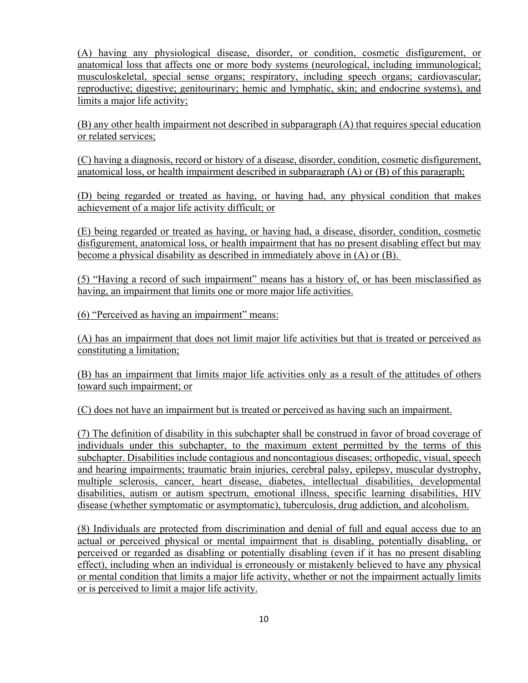(A) having any physiological disease, disorder, or condition, cosmetic disfigurement, or anatomical loss that affects one or more body systems (neurological, including immunological; musculoskeletal, special sense organs; respiratory, including speech organs; cardiovascular; reproductive; digestive; genitourinary; hemic and lymphatic, skin; and endocrine systems), and limits a major life activity;

(B) any other health impairment not described in subparagraph (A) that requires special education or related services;

(C) having a diagnosis, record or history of a disease, disorder, condition, cosmetic disfigurement, anatomical loss, or health impairment described in subparagraph (A) or (B) of this paragraph;

(D) being regarded or treated as having, or having had, any physical condition that makes achievement of a major life activity difficult; or

(E) being regarded or treated as having, or having had, a disease, disorder, condition, cosmetic disfigurement, anatomical loss, or health impairment that has no present disabling effect but may become a physical disability as described in immediately above in (A) or (B).

(5) "Having a record of such impairment" means has a history of, or has been misclassified as having, an impairment that limits one or more major life activities.

(6) "Perceived as having an impairment" means:

(A) has an impairment that does not limit major life activities but that is treated or perceived as constituting a limitation;

(B) has an impairment that limits major life activities only as a result of the attitudes of others toward such impairment; or

(C) does not have an impairment but is treated or perceived as having such an impairment.

(7) The definition of disability in this subchapter shall be construed in favor of broad coverage of individuals under this subchapter, to the maximum extent permitted by the terms of this subchapter. Disabilities include contagious and noncontagious diseases; orthopedic, visual, speech and hearing impairments; traumatic brain injuries, cerebral palsy, epilepsy, muscular dystrophy, multiple sclerosis, cancer, heart disease, diabetes, intellectual disabilities, developmental disabilities, autism or autism spectrum, emotional illness, specific learning disabilities, HIV disease (whether symptomatic or asymptomatic), tuberculosis, drug addiction, and alcoholism.

(8) Individuals are protected from discrimination and denial of full and equal access due to an actual or perceived physical or mental impairment that is disabling, potentially disabling, or perceived or regarded as disabling or potentially disabling (even if it has no present disabling effect), including when an individual is erroneously or mistakenly believed to have any physical or mental condition that limits a major life activity, whether or not the impairment actually limits or is perceived to limit a major life activity.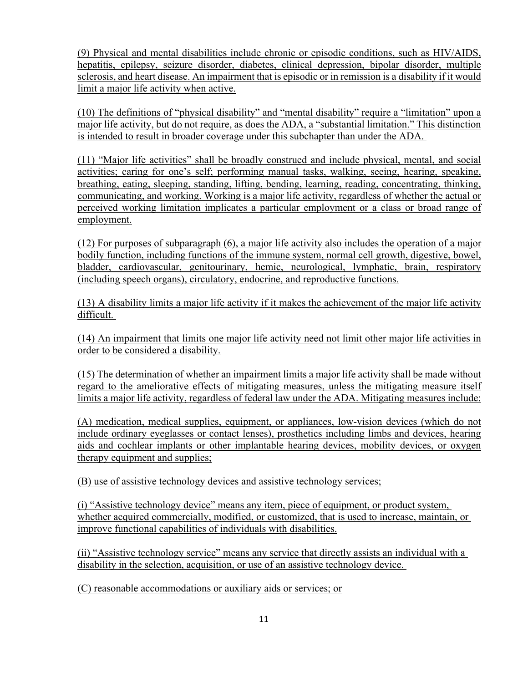(9) Physical and mental disabilities include chronic or episodic conditions, such as HIV/AIDS, hepatitis, epilepsy, seizure disorder, diabetes, clinical depression, bipolar disorder, multiple sclerosis, and heart disease. An impairment that is episodic or in remission is a disability if it would limit a major life activity when active.

(10) The definitions of "physical disability" and "mental disability" require a "limitation" upon a major life activity, but do not require, as does the ADA, a "substantial limitation." This distinction is intended to result in broader coverage under this subchapter than under the ADA.

(11) "Major life activities" shall be broadly construed and include physical, mental, and social activities; caring for one's self; performing manual tasks, walking, seeing, hearing, speaking, breathing, eating, sleeping, standing, lifting, bending, learning, reading, concentrating, thinking, communicating, and working. Working is a major life activity, regardless of whether the actual or perceived working limitation implicates a particular employment or a class or broad range of employment.

(12) For purposes of subparagraph (6), a major life activity also includes the operation of a major bodily function, including functions of the immune system, normal cell growth, digestive, bowel, bladder, cardiovascular, genitourinary, hemic, neurological, lymphatic, brain, respiratory (including speech organs), circulatory, endocrine, and reproductive functions.

(13) A disability limits a major life activity if it makes the achievement of the major life activity difficult.

(14) An impairment that limits one major life activity need not limit other major life activities in order to be considered a disability.

(15) The determination of whether an impairment limits a major life activity shall be made without regard to the ameliorative effects of mitigating measures, unless the mitigating measure itself limits a major life activity, regardless of federal law under the ADA. Mitigating measures include:

(A) medication, medical supplies, equipment, or appliances, low-vision devices (which do not include ordinary eyeglasses or contact lenses), prosthetics including limbs and devices, hearing aids and cochlear implants or other implantable hearing devices, mobility devices, or oxygen therapy equipment and supplies;

(B) use of assistive technology devices and assistive technology services;

(i) "Assistive technology device" means any item, piece of equipment, or product system, whether acquired commercially, modified, or customized, that is used to increase, maintain, or improve functional capabilities of individuals with disabilities.

(ii) "Assistive technology service" means any service that directly assists an individual with a disability in the selection, acquisition, or use of an assistive technology device.

(C) reasonable accommodations or auxiliary aids or services; or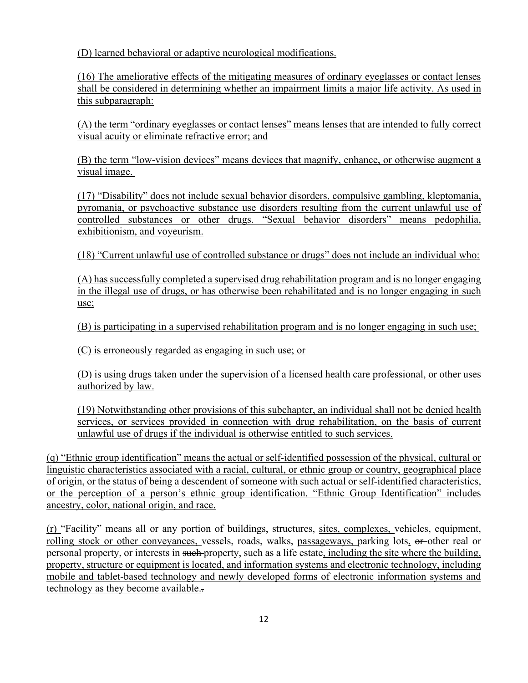(D) learned behavioral or adaptive neurological modifications.

(16) The ameliorative effects of the mitigating measures of ordinary eyeglasses or contact lenses shall be considered in determining whether an impairment limits a major life activity. As used in this subparagraph:

(A) the term "ordinary eyeglasses or contact lenses" means lenses that are intended to fully correct visual acuity or eliminate refractive error; and

(B) the term "low-vision devices" means devices that magnify, enhance, or otherwise augment a visual image.

(17) "Disability" does not include sexual behavior disorders, compulsive gambling, kleptomania, pyromania, or psychoactive substance use disorders resulting from the current unlawful use of controlled substances or other drugs. "Sexual behavior disorders" means pedophilia, exhibitionism, and voyeurism.

(18) "Current unlawful use of controlled substance or drugs" does not include an individual who:

(A) has successfully completed a supervised drug rehabilitation program and is no longer engaging in the illegal use of drugs, or has otherwise been rehabilitated and is no longer engaging in such use;

(B) is participating in a supervised rehabilitation program and is no longer engaging in such use;

(C) is erroneously regarded as engaging in such use; or

(D) is using drugs taken under the supervision of a licensed health care professional, or other uses authorized by law.

(19) Notwithstanding other provisions of this subchapter, an individual shall not be denied health services, or services provided in connection with drug rehabilitation, on the basis of current unlawful use of drugs if the individual is otherwise entitled to such services.

(q) "Ethnic group identification" means the actual or self-identified possession of the physical, cultural or linguistic characteristics associated with a racial, cultural, or ethnic group or country, geographical place of origin, or the status of being a descendent of someone with such actual or self-identified characteristics, or the perception of a person's ethnic group identification. "Ethnic Group Identification" includes ancestry, color, national origin, and race.

(r) "Facility" means all or any portion of buildings, structures, sites, complexes, vehicles, equipment, rolling stock or other conveyances, vessels, roads, walks, passageways, parking lots, or other real or personal property, or interests in such property, such as a life estate, including the site where the building, property, structure or equipment is located, and information systems and electronic technology, including mobile and tablet-based technology and newly developed forms of electronic information systems and technology as they become available..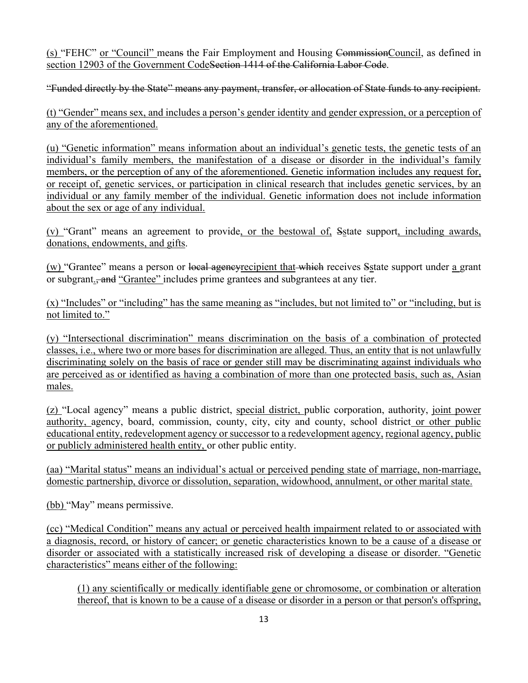(s) "FEHC" or "Council" means the Fair Employment and Housing CommissionCouncil, as defined in section 12903 of the Government Code<del>Section 1414 of the California Labor Code</del>.

"Funded directly by the State" means any payment, transfer, or allocation of State funds to any recipient.

(t) "Gender" means sex, and includes a person's gender identity and gender expression, or a perception of any of the aforementioned.

(u) "Genetic information" means information about an individual's genetic tests, the genetic tests of an individual's family members, the manifestation of a disease or disorder in the individual's family members, or the perception of any of the aforementioned. Genetic information includes any request for, or receipt of, genetic services, or participation in clinical research that includes genetic services, by an individual or any family member of the individual. Genetic information does not include information about the sex or age of any individual.

(v) "Grant" means an agreement to provide, or the bestowal of, Sstate support, including awards, donations, endowments, and gifts.

(w) "Grantee" means a person or local agencyrecipient that which receives Sstate support under a grant or subgrant., and "Grantee" includes prime grantees and subgrantees at any tier.

(x) "Includes" or "including" has the same meaning as "includes, but not limited to" or "including, but is not limited to."

(y) "Intersectional discrimination" means discrimination on the basis of a combination of protected classes, i.e., where two or more bases for discrimination are alleged. Thus, an entity that is not unlawfully discriminating solely on the basis of race or gender still may be discriminating against individuals who are perceived as or identified as having a combination of more than one protected basis, such as, Asian males.

(z) "Local agency" means a public district, special district, public corporation, authority, joint power authority, agency, board, commission, county, city, city and county, school district or other public educational entity, redevelopment agency or successor to a redevelopment agency, regional agency, public or publicly administered health entity, or other public entity.

(aa) "Marital status" means an individual's actual or perceived pending state of marriage, non-marriage, domestic partnership, divorce or dissolution, separation, widowhood, annulment, or other marital state.

(bb) "May" means permissive.

(cc) "Medical Condition" means any actual or perceived health impairment related to or associated with a diagnosis, record, or history of cancer; or genetic characteristics known to be a cause of a disease or disorder or associated with a statistically increased risk of developing a disease or disorder. "Genetic characteristics" means either of the following:

(1) any scientifically or medically identifiable gene or chromosome, or combination or alteration thereof, that is known to be a cause of a disease or disorder in a person or that person's offspring,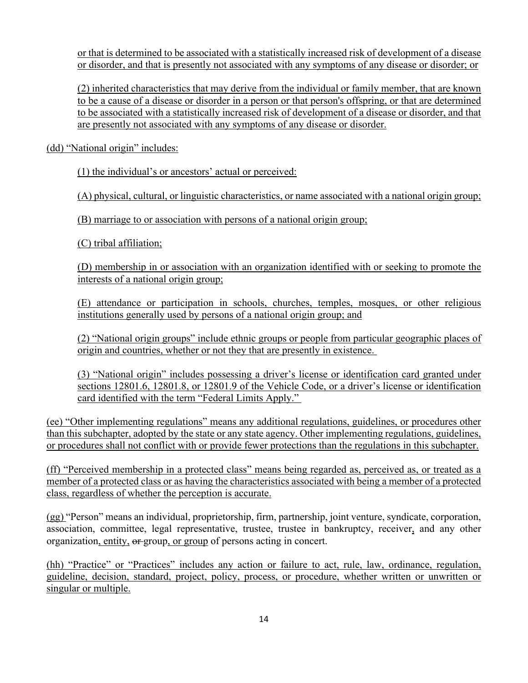or that is determined to be associated with a statistically increased risk of development of a disease or disorder, and that is presently not associated with any symptoms of any disease or disorder; or

(2) inherited characteristics that may derive from the individual or family member, that are known to be a cause of a disease or disorder in a person or that person's offspring, or that are determined to be associated with a statistically increased risk of development of a disease or disorder, and that are presently not associated with any symptoms of any disease or disorder.

(dd) "National origin" includes:

(1) the individual's or ancestors' actual or perceived:

(A) physical, cultural, or linguistic characteristics, or name associated with a national origin group;

(B) marriage to or association with persons of a national origin group;

(C) tribal affiliation;

(D) membership in or association with an organization identified with or seeking to promote the interests of a national origin group;

(E) attendance or participation in schools, churches, temples, mosques, or other religious institutions generally used by persons of a national origin group; and

(2) "National origin groups" include ethnic groups or people from particular geographic places of origin and countries, whether or not they that are presently in existence.

(3) "National origin" includes possessing a driver's license or identification card granted under sections 12801.6, 12801.8, or 12801.9 of the Vehicle Code, or a driver's license or identification card identified with the term "Federal Limits Apply."

(ee) "Other implementing regulations" means any additional regulations, guidelines, or procedures other than this subchapter, adopted by the state or any state agency. Other implementing regulations, guidelines, or procedures shall not conflict with or provide fewer protections than the regulations in this subchapter.

(ff) "Perceived membership in a protected class" means being regarded as, perceived as, or treated as a member of a protected class or as having the characteristics associated with being a member of a protected class, regardless of whether the perception is accurate.

(gg) "Person" means an individual, proprietorship, firm, partnership, joint venture, syndicate, corporation, association, committee, legal representative, trustee, trustee in bankruptcy, receiver, and any other organization, entity,  $\theta$  group, or group of persons acting in concert.

(hh) "Practice" or "Practices" includes any action or failure to act, rule, law, ordinance, regulation, guideline, decision, standard, project, policy, process, or procedure, whether written or unwritten or singular or multiple.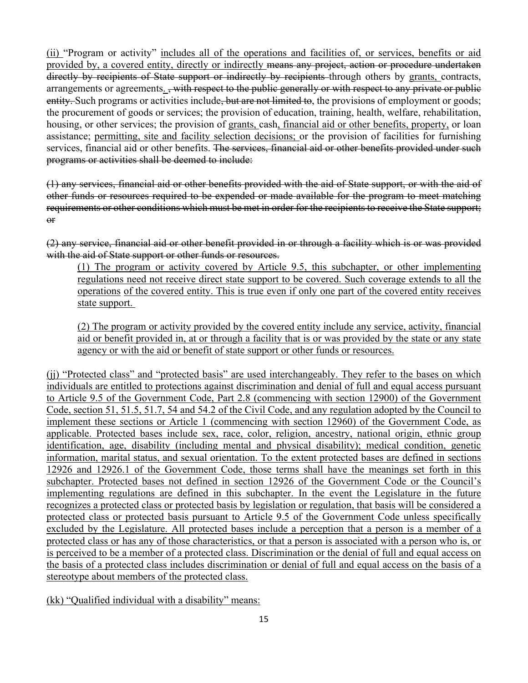(ii) "Program or activity" includes all of the operations and facilities of, or services, benefits or aid provided by, a covered entity, directly or indirectly means any project, action or procedure undertaken directly by recipients of State support or indirectly by recipients through others by grants, contracts, arrangements or agreements. , with respect to the public generally or with respect to any private or public entity. Such programs or activities include, but are not limited to, the provisions of employment or goods; the procurement of goods or services; the provision of education, training, health, welfare, rehabilitation, housing, or other services; the provision of grants, cash, financial aid or other benefits, property, or loan assistance; permitting, site and facility selection decisions; or the provision of facilities for furnishing services, financial aid or other benefits. The services, financial aid or other benefits provided under such programs or activities shall be deemed to include:

(1) any services, financial aid or other benefits provided with the aid of State support, or with the aid of other funds or resources required to be expended or made available for the program to meet matching requirements or other conditions which must be met in order for the recipients to receive the State support; or

(2) any service, financial aid or other benefit provided in or through a facility which is or was provided with the aid of State support or other funds or resources.

(1) The program or activity covered by Article 9.5, this subchapter, or other implementing regulations need not receive direct state support to be covered. Such coverage extends to all the operations of the covered entity. This is true even if only one part of the covered entity receives state support.

(2) The program or activity provided by the covered entity include any service, activity, financial aid or benefit provided in, at or through a facility that is or was provided by the state or any state agency or with the aid or benefit of state support or other funds or resources.

(jj) "Protected class" and "protected basis" are used interchangeably. They refer to the bases on which individuals are entitled to protections against discrimination and denial of full and equal access pursuant to Article 9.5 of the Government Code, Part 2.8 (commencing with section 12900) of the Government Code, section 51, 51.5, 51.7, 54 and 54.2 of the Civil Code, and any regulation adopted by the Council to implement these sections or Article 1 (commencing with section 12960) of the Government Code, as applicable. Protected bases include sex, race, color, religion, ancestry, national origin, ethnic group identification, age, disability (including mental and physical disability); medical condition, genetic information, marital status, and sexual orientation. To the extent protected bases are defined in sections 12926 and 12926.1 of the Government Code, those terms shall have the meanings set forth in this subchapter. Protected bases not defined in section 12926 of the Government Code or the Council's implementing regulations are defined in this subchapter. In the event the Legislature in the future recognizes a protected class or protected basis by legislation or regulation, that basis will be considered a protected class or protected basis pursuant to Article 9.5 of the Government Code unless specifically excluded by the Legislature. All protected bases include a perception that a person is a member of a protected class or has any of those characteristics, or that a person is associated with a person who is, or is perceived to be a member of a protected class. Discrimination or the denial of full and equal access on the basis of a protected class includes discrimination or denial of full and equal access on the basis of a stereotype about members of the protected class.

(kk) "Qualified individual with a disability" means: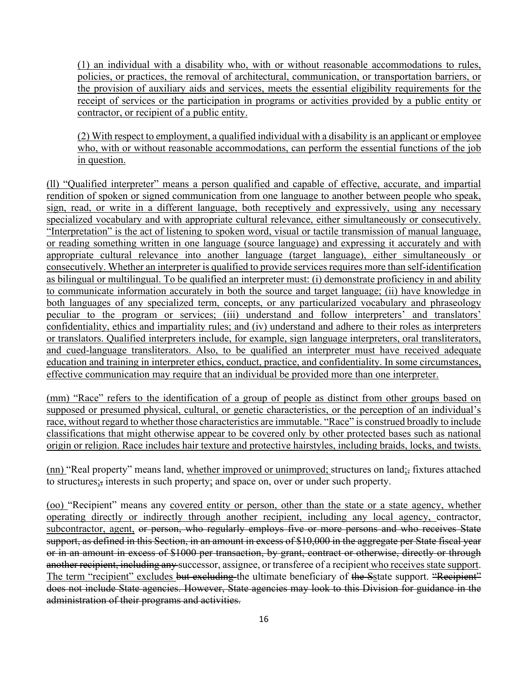(1) an individual with a disability who, with or without reasonable accommodations to rules, policies, or practices, the removal of architectural, communication, or transportation barriers, or the provision of auxiliary aids and services, meets the essential eligibility requirements for the receipt of services or the participation in programs or activities provided by a public entity or contractor, or recipient of a public entity.

(2) With respect to employment, a qualified individual with a disability is an applicant or employee who, with or without reasonable accommodations, can perform the essential functions of the job in question.

(ll) "Qualified interpreter" means a person qualified and capable of effective, accurate, and impartial rendition of spoken or signed communication from one language to another between people who speak, sign, read, or write in a different language, both receptively and expressively, using any necessary specialized vocabulary and with appropriate cultural relevance, either simultaneously or consecutively. "Interpretation" is the act of listening to spoken word, visual or tactile transmission of manual language, or reading something written in one language (source language) and expressing it accurately and with appropriate cultural relevance into another language (target language), either simultaneously or consecutively. Whether an interpreter is qualified to provide services requires more than self-identification as bilingual or multilingual. To be qualified an interpreter must: (i) demonstrate proficiency in and ability to communicate information accurately in both the source and target language; (ii) have knowledge in both languages of any specialized term, concepts, or any particularized vocabulary and phraseology peculiar to the program or services; (iii) understand and follow interpreters' and translators' confidentiality, ethics and impartiality rules; and (iv) understand and adhere to their roles as interpreters or translators. Qualified interpreters include, for example, sign language interpreters, oral transliterators, and cued-language transliterators. Also, to be qualified an interpreter must have received adequate education and training in interpreter ethics, conduct, practice, and confidentiality. In some circumstances, effective communication may require that an individual be provided more than one interpreter.

(mm) "Race" refers to the identification of a group of people as distinct from other groups based on supposed or presumed physical, cultural, or genetic characteristics, or the perception of an individual's race, without regard to whether those characteristics are immutable. "Race" is construed broadly to include classifications that might otherwise appear to be covered only by other protected bases such as national origin or religion. Race includes hair texture and protective hairstyles, including braids, locks, and twists.

(nn) "Real property" means land, whether improved or unimproved; structures on land;, fixtures attached to structures;, interests in such property; and space on, over or under such property.

(oo) "Recipient" means any covered entity or person, other than the state or a state agency, whether operating directly or indirectly through another recipient, including any local agency, contractor, subcontractor, agent, or person, who regularly employs five or more persons and who receives State support, as defined in this Section, in an amount in excess of \$10,000 in the aggregate per State fiscal year or in an amount in excess of \$1000 per transaction, by grant, contract or otherwise, directly or through another recipient, including any successor, assignee, or transferee of a recipient who receives state support. The term "recipient" excludes but excluding the ultimate beneficiary of the Sstate support. "Recipient" does not include State agencies. However, State agencies may look to this Division for guidance in the administration of their programs and activities.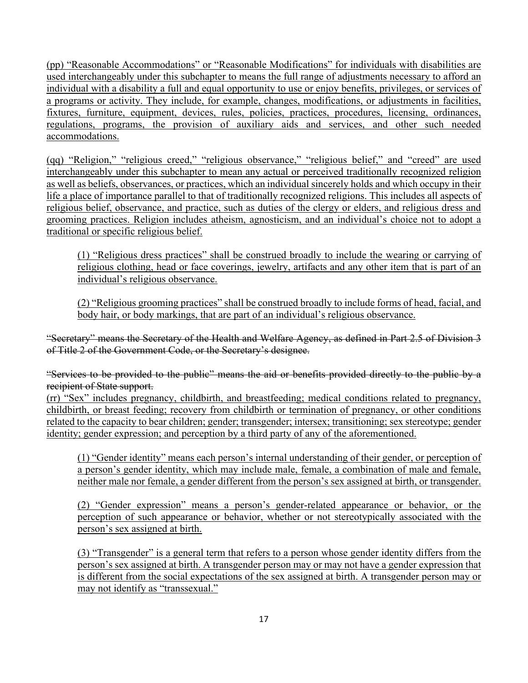(pp) "Reasonable Accommodations" or "Reasonable Modifications" for individuals with disabilities are used interchangeably under this subchapter to means the full range of adjustments necessary to afford an individual with a disability a full and equal opportunity to use or enjoy benefits, privileges, or services of a programs or activity. They include, for example, changes, modifications, or adjustments in facilities, fixtures, furniture, equipment, devices, rules, policies, practices, procedures, licensing, ordinances, regulations, programs, the provision of auxiliary aids and services, and other such needed accommodations.

(qq) "Religion," "religious creed," "religious observance," "religious belief," and "creed" are used interchangeably under this subchapter to mean any actual or perceived traditionally recognized religion as well as beliefs, observances, or practices, which an individual sincerely holds and which occupy in their life a place of importance parallel to that of traditionally recognized religions. This includes all aspects of religious belief, observance, and practice, such as duties of the clergy or elders, and religious dress and grooming practices. Religion includes atheism, agnosticism, and an individual's choice not to adopt a traditional or specific religious belief.

(1) "Religious dress practices" shall be construed broadly to include the wearing or carrying of religious clothing, head or face coverings, jewelry, artifacts and any other item that is part of an individual's religious observance.

(2) "Religious grooming practices" shall be construed broadly to include forms of head, facial, and body hair, or body markings, that are part of an individual's religious observance.

"Secretary" means the Secretary of the Health and Welfare Agency, as defined in Part 2.5 of Division 3 of Title 2 of the Government Code, or the Secretary's designee.

"Services to be provided to the public" means the aid or benefits provided directly to the public by a recipient of State support.

(rr) "Sex" includes pregnancy, childbirth, and breastfeeding; medical conditions related to pregnancy, childbirth, or breast feeding; recovery from childbirth or termination of pregnancy, or other conditions related to the capacity to bear children; gender; transgender; intersex; transitioning; sex stereotype; gender identity; gender expression; and perception by a third party of any of the aforementioned.

(1) "Gender identity" means each person's internal understanding of their gender, or perception of a person's gender identity, which may include male, female, a combination of male and female, neither male nor female, a gender different from the person's sex assigned at birth, or transgender.

(2) "Gender expression" means a person's gender-related appearance or behavior, or the perception of such appearance or behavior, whether or not stereotypically associated with the person's sex assigned at birth.

(3) "Transgender" is a general term that refers to a person whose gender identity differs from the person's sex assigned at birth. A transgender person may or may not have a gender expression that is different from the social expectations of the sex assigned at birth. A transgender person may or may not identify as "transsexual."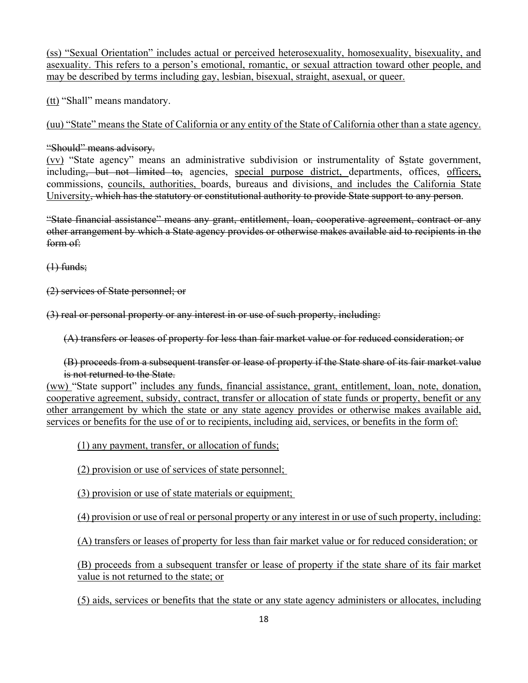(ss) "Sexual Orientation" includes actual or perceived heterosexuality, homosexuality, bisexuality, and asexuality. This refers to a person's emotional, romantic, or sexual attraction toward other people, and may be described by terms including gay, lesbian, bisexual, straight, asexual, or queer.

(tt) "Shall" means mandatory.

(uu) "State" means the State of California or any entity of the State of California other than a state agency.

"Should" means advisory.

(vv) "State agency" means an administrative subdivision or instrumentality of Sstate government, including, but not limited to, agencies, special purpose district, departments, offices, officers, commissions, councils, authorities, boards, bureaus and divisions, and includes the California State University, which has the statutory or constitutional authority to provide State support to any person.

"State financial assistance" means any grant, entitlement, loan, cooperative agreement, contract or any other arrangement by which a State agency provides or otherwise makes available aid to recipients in the form of:

 $(1)$  funds;

(2) services of State personnel; or

(3) real or personal property or any interest in or use of such property, including:

(A) transfers or leases of property for less than fair market value or for reduced consideration; or

(B) proceeds from a subsequent transfer or lease of property if the State share of its fair market value is not returned to the State.

(ww) "State support" includes any funds, financial assistance, grant, entitlement, loan, note, donation, cooperative agreement, subsidy, contract, transfer or allocation of state funds or property, benefit or any other arrangement by which the state or any state agency provides or otherwise makes available aid, services or benefits for the use of or to recipients, including aid, services, or benefits in the form of:

(1) any payment, transfer, or allocation of funds;

(2) provision or use of services of state personnel;

(3) provision or use of state materials or equipment;

(4) provision or use of real or personal property or any interest in or use of such property, including:

(A) transfers or leases of property for less than fair market value or for reduced consideration; or

(B) proceeds from a subsequent transfer or lease of property if the state share of its fair market value is not returned to the state; or

(5) aids, services or benefits that the state or any state agency administers or allocates, including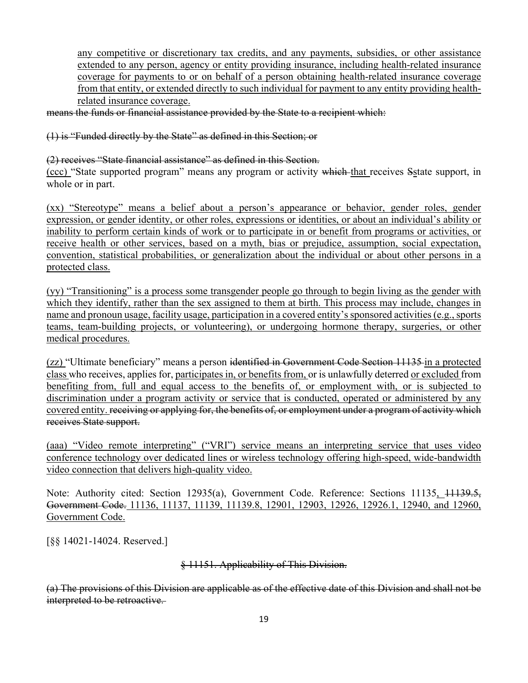any competitive or discretionary tax credits, and any payments, subsidies, or other assistance extended to any person, agency or entity providing insurance, including health-related insurance coverage for payments to or on behalf of a person obtaining health-related insurance coverage from that entity, or extended directly to such individual for payment to any entity providing healthrelated insurance coverage.

means the funds or financial assistance provided by the State to a recipient which:

(1) is "Funded directly by the State" as defined in this Section; or

(2) receives "State financial assistance" as defined in this Section.

(ccc) "State supported program" means any program or activity which that receives Sstate support, in whole or in part.

(xx) "Stereotype" means a belief about a person's appearance or behavior, gender roles, gender expression, or gender identity, or other roles, expressions or identities, or about an individual's ability or inability to perform certain kinds of work or to participate in or benefit from programs or activities, or receive health or other services, based on a myth, bias or prejudice, assumption, social expectation, convention, statistical probabilities, or generalization about the individual or about other persons in a protected class.

(yy) "Transitioning" is a process some transgender people go through to begin living as the gender with which they identify, rather than the sex assigned to them at birth. This process may include, changes in name and pronoun usage, facility usage, participation in a covered entity's sponsored activities (e.g., sports teams, team-building projects, or volunteering), or undergoing hormone therapy, surgeries, or other medical procedures.

(zz) "Ultimate beneficiary" means a person identified in Government Code Section 11135 in a protected class who receives, applies for, participates in, or benefits from, or is unlawfully deterred or excluded from benefiting from, full and equal access to the benefits of, or employment with, or is subjected to discrimination under a program activity or service that is conducted, operated or administered by any covered entity. receiving or applying for, the benefits of, or employment under a program of activity which receives State support.

(aaa) "Video remote interpreting" ("VRI") service means an interpreting service that uses video conference technology over dedicated lines or wireless technology offering high-speed, wide-bandwidth video connection that delivers high-quality video.

Note: Authority cited: Section 12935(a), Government Code. Reference: Sections 11135, 11139.5, Government Code. 11136, 11137, 11139, 11139.8, 12901, 12903, 12926, 12926.1, 12940, and 12960, Government Code.

[§§ 14021-14024. Reserved.]

§ 11151. Applicability of This Division.

(a) The provisions of this Division are applicable as of the effective date of this Division and shall not be interpreted to be retroactive.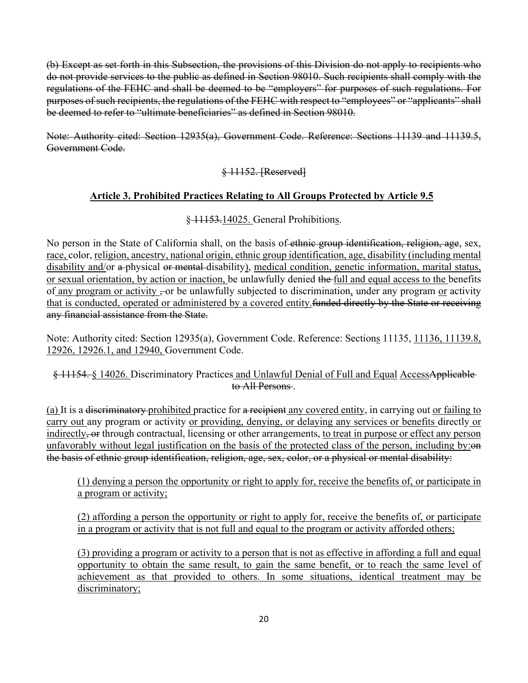(b) Except as set forth in this Subsection, the provisions of this Division do not apply to recipients who do not provide services to the public as defined in Section 98010. Such recipients shall comply with the regulations of the FEHC and shall be deemed to be "employers" for purposes of such regulations. For purposes of such recipients, the regulations of the FEHC with respect to "employees" or "applicants" shall be deemed to refer to "ultimate beneficiaries" as defined in Section 98010.

Note: Authority cited: Section 12935(a), Government Code. Reference: Sections 11139 and 11139.5, Government Code.

## § 11152. [Reserved]

#### **Article 3. Prohibited Practices Relating to All Groups Protected by Article 9.5**

#### § 11153.14025. General Prohibitions.

No person in the State of California shall, on the basis of ethnic group identification, religion, age, sex, race, color, religion, ancestry, national origin, ethnic group identification, age, disability (including mental disability and/or a physical or mental disability), medical condition, genetic information, marital status, or sexual orientation, by action or inaction, be unlawfully denied the full and equal access to the benefits of any program or activity  $\overline{z}$  or be unlawfully subjected to discrimination, under any program or activity that is conducted, operated or administered by a covered entity. funded directly by the State or receiving any financial assistance from the State.

Note: Authority cited: Section 12935(a), Government Code. Reference: Sections 11135, 11136, 11139.8, 12926, 12926.1, and 12940, Government Code.

#### § 11154. § 14026. Discriminatory Practices and Unlawful Denial of Full and Equal AccessApplicable to All Persons .

(a) It is a <del>discriminatory</del> prohibited practice for a recipient any covered entity, in carrying out or failing to carry out any program or activity or providing, denying, or delaying any services or benefits directly or indirectly, or through contractual, licensing or other arrangements, to treat in purpose or effect any person unfavorably without legal justification on the basis of the protected class of the person, including by: the basis of ethnic group identification, religion, age, sex, color, or a physical or mental disability:

(1) denying a person the opportunity or right to apply for, receive the benefits of, or participate in a program or activity;

(2) affording a person the opportunity or right to apply for, receive the benefits of, or participate in a program or activity that is not full and equal to the program or activity afforded others;

(3) providing a program or activity to a person that is not as effective in affording a full and equal opportunity to obtain the same result, to gain the same benefit, or to reach the same level of achievement as that provided to others. In some situations, identical treatment may be discriminatory;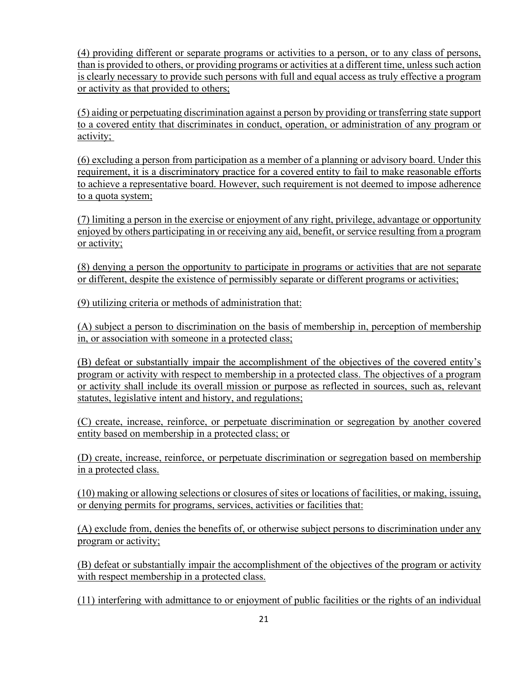(4) providing different or separate programs or activities to a person, or to any class of persons, than is provided to others, or providing programs or activities at a different time, unless such action is clearly necessary to provide such persons with full and equal access as truly effective a program or activity as that provided to others;

(5) aiding or perpetuating discrimination against a person by providing or transferring state support to a covered entity that discriminates in conduct, operation, or administration of any program or activity;

(6) excluding a person from participation as a member of a planning or advisory board. Under this requirement, it is a discriminatory practice for a covered entity to fail to make reasonable efforts to achieve a representative board. However, such requirement is not deemed to impose adherence to a quota system;

(7) limiting a person in the exercise or enjoyment of any right, privilege, advantage or opportunity enjoyed by others participating in or receiving any aid, benefit, or service resulting from a program or activity;

(8) denying a person the opportunity to participate in programs or activities that are not separate or different, despite the existence of permissibly separate or different programs or activities;

(9) utilizing criteria or methods of administration that:

(A) subject a person to discrimination on the basis of membership in, perception of membership in, or association with someone in a protected class;

(B) defeat or substantially impair the accomplishment of the objectives of the covered entity's program or activity with respect to membership in a protected class. The objectives of a program or activity shall include its overall mission or purpose as reflected in sources, such as, relevant statutes, legislative intent and history, and regulations;

(C) create, increase, reinforce, or perpetuate discrimination or segregation by another covered entity based on membership in a protected class; or

(D) create, increase, reinforce, or perpetuate discrimination or segregation based on membership in a protected class.

(10) making or allowing selections or closures of sites or locations of facilities, or making, issuing, or denying permits for programs, services, activities or facilities that:

(A) exclude from, denies the benefits of, or otherwise subject persons to discrimination under any program or activity;

(B) defeat or substantially impair the accomplishment of the objectives of the program or activity with respect membership in a protected class.

(11) interfering with admittance to or enjoyment of public facilities or the rights of an individual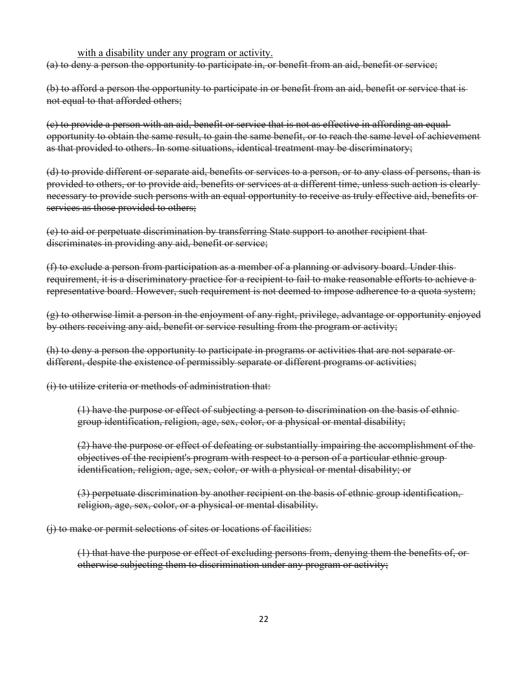#### with a disability under any program or activity.

(a) to deny a person the opportunity to participate in, or benefit from an aid, benefit or service;

(b) to afford a person the opportunity to participate in or benefit from an aid, benefit or service that is not equal to that afforded others;

(c) to provide a person with an aid, benefit or service that is not as effective in affording an equal opportunity to obtain the same result, to gain the same benefit, or to reach the same level of achievement as that provided to others. In some situations, identical treatment may be discriminatory;

(d) to provide different or separate aid, benefits or services to a person, or to any class of persons, than is provided to others, or to provide aid, benefits or services at a different time, unless such action is clearly necessary to provide such persons with an equal opportunity to receive as truly effective aid, benefits or services as those provided to others;

(e) to aid or perpetuate discrimination by transferring State support to another recipient that discriminates in providing any aid, benefit or service;

(f) to exclude a person from participation as a member of a planning or advisory board. Under this requirement, it is a discriminatory practice for a recipient to fail to make reasonable efforts to achieve a representative board. However, such requirement is not deemed to impose adherence to a quota system;

(g) to otherwise limit a person in the enjoyment of any right, privilege, advantage or opportunity enjoyed by others receiving any aid, benefit or service resulting from the program or activity;

(h) to deny a person the opportunity to participate in programs or activities that are not separate or different, despite the existence of permissibly separate or different programs or activities;

(i) to utilize criteria or methods of administration that:

(1) have the purpose or effect of subjecting a person to discrimination on the basis of ethnic group identification, religion, age, sex, color, or a physical or mental disability;

(2) have the purpose or effect of defeating or substantially impairing the accomplishment of the objectives of the recipient's program with respect to a person of a particular ethnic group identification, religion, age, sex, color, or with a physical or mental disability; or

(3) perpetuate discrimination by another recipient on the basis of ethnic group identification, religion, age, sex, color, or a physical or mental disability.

(j) to make or permit selections of sites or locations of facilities:

(1) that have the purpose or effect of excluding persons from, denying them the benefits of, or otherwise subjecting them to discrimination under any program or activity;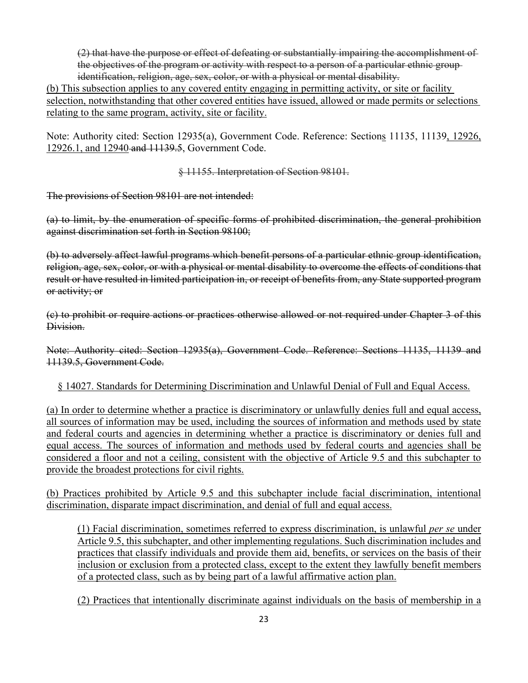(2) that have the purpose or effect of defeating or substantially impairing the accomplishment of the objectives of the program or activity with respect to a person of a particular ethnic group identification, religion, age, sex, color, or with a physical or mental disability.

(b) This subsection applies to any covered entity engaging in permitting activity, or site or facility selection, notwithstanding that other covered entities have issued, allowed or made permits or selections relating to the same program, activity, site or facility.

Note: Authority cited: Section 12935(a), Government Code. Reference: Sections 11135, 11139, 12926, 12926.1, and 12940 and 11139.5, Government Code.

§ 11155. Interpretation of Section 98101.

The provisions of Section 98101 are not intended:

(a) to limit, by the enumeration of specific forms of prohibited discrimination, the general prohibition against discrimination set forth in Section 98100;

(b) to adversely affect lawful programs which benefit persons of a particular ethnic group identification, religion, age, sex, color, or with a physical or mental disability to overcome the effects of conditions that result or have resulted in limited participation in, or receipt of benefits from, any State supported program or activity; or

(c) to prohibit or require actions or practices otherwise allowed or not required under Chapter 3 of this Division.

Note: Authority cited: Section 12935(a), Government Code. Reference: Sections 11135, 11139 and 11139.5, Government Code.

§ 14027. Standards for Determining Discrimination and Unlawful Denial of Full and Equal Access.

(a) In order to determine whether a practice is discriminatory or unlawfully denies full and equal access, all sources of information may be used, including the sources of information and methods used by state and federal courts and agencies in determining whether a practice is discriminatory or denies full and equal access. The sources of information and methods used by federal courts and agencies shall be considered a floor and not a ceiling, consistent with the objective of Article 9.5 and this subchapter to provide the broadest protections for civil rights.

(b) Practices prohibited by Article 9.5 and this subchapter include facial discrimination, intentional discrimination, disparate impact discrimination, and denial of full and equal access.

(1) Facial discrimination, sometimes referred to express discrimination, is unlawful *per se* under Article 9.5, this subchapter, and other implementing regulations. Such discrimination includes and practices that classify individuals and provide them aid, benefits, or services on the basis of their inclusion or exclusion from a protected class, except to the extent they lawfully benefit members of a protected class, such as by being part of a lawful affirmative action plan.

(2) Practices that intentionally discriminate against individuals on the basis of membership in a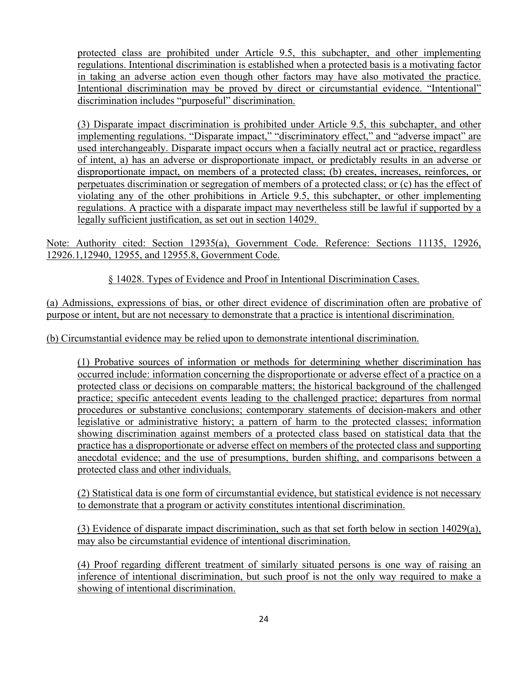protected class are prohibited under Article 9.5, this subchapter, and other implementing regulations. Intentional discrimination is established when a protected basis is a motivating factor in taking an adverse action even though other factors may have also motivated the practice. Intentional discrimination may be proved by direct or circumstantial evidence. "Intentional" discrimination includes "purposeful" discrimination.

(3) Disparate impact discrimination is prohibited under Article 9.5, this subchapter, and other implementing regulations. "Disparate impact," "discriminatory effect," and "adverse impact" are used interchangeably. Disparate impact occurs when a facially neutral act or practice, regardless of intent, a) has an adverse or disproportionate impact, or predictably results in an adverse or disproportionate impact, on members of a protected class; (b) creates, increases, reinforces, or perpetuates discrimination or segregation of members of a protected class; or (c) has the effect of violating any of the other prohibitions in Article 9.5, this subchapter, or other implementing regulations. A practice with a disparate impact may nevertheless still be lawful if supported by a legally sufficient justification, as set out in section 14029.

Note: Authority cited: Section 12935(a), Government Code. Reference: Sections 11135, 12926, 12926.1,12940, 12955, and 12955.8, Government Code.

§ 14028. Types of Evidence and Proof in Intentional Discrimination Cases.

(a) Admissions, expressions of bias, or other direct evidence of discrimination often are probative of purpose or intent, but are not necessary to demonstrate that a practice is intentional discrimination.

(b) Circumstantial evidence may be relied upon to demonstrate intentional discrimination.

(1) Probative sources of information or methods for determining whether discrimination has occurred include: information concerning the disproportionate or adverse effect of a practice on a protected class or decisions on comparable matters; the historical background of the challenged practice; specific antecedent events leading to the challenged practice; departures from normal procedures or substantive conclusions; contemporary statements of decision-makers and other legislative or administrative history; a pattern of harm to the protected classes; information showing discrimination against members of a protected class based on statistical data that the practice has a disproportionate or adverse effect on members of the protected class and supporting anecdotal evidence; and the use of presumptions, burden shifting, and comparisons between a protected class and other individuals.

(2) Statistical data is one form of circumstantial evidence, but statistical evidence is not necessary to demonstrate that a program or activity constitutes intentional discrimination.

(3) Evidence of disparate impact discrimination, such as that set forth below in section 14029(a), may also be circumstantial evidence of intentional discrimination.

(4) Proof regarding different treatment of similarly situated persons is one way of raising an inference of intentional discrimination, but such proof is not the only way required to make a showing of intentional discrimination.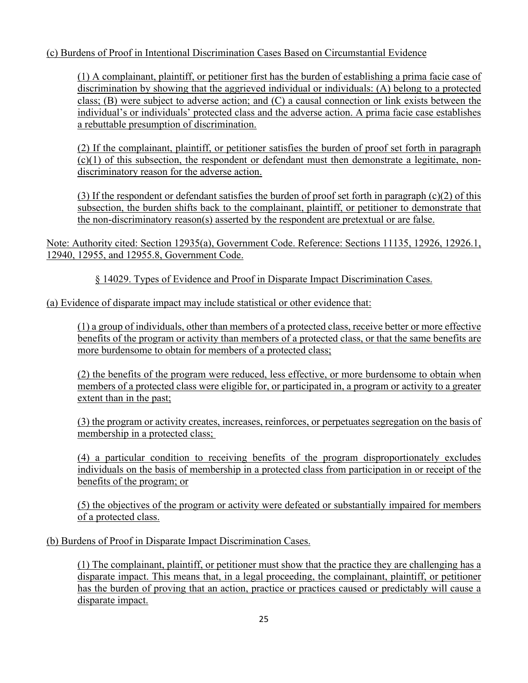## (c) Burdens of Proof in Intentional Discrimination Cases Based on Circumstantial Evidence

(1) A complainant, plaintiff, or petitioner first has the burden of establishing a prima facie case of discrimination by showing that the aggrieved individual or individuals: (A) belong to a protected class; (B) were subject to adverse action; and (C) a causal connection or link exists between the individual's or individuals' protected class and the adverse action. A prima facie case establishes a rebuttable presumption of discrimination.

(2) If the complainant, plaintiff, or petitioner satisfies the burden of proof set forth in paragraph  $(c)(1)$  of this subsection, the respondent or defendant must then demonstrate a legitimate, nondiscriminatory reason for the adverse action.

(3) If the respondent or defendant satisfies the burden of proof set forth in paragraph (c)(2) of this subsection, the burden shifts back to the complainant, plaintiff, or petitioner to demonstrate that the non-discriminatory reason(s) asserted by the respondent are pretextual or are false.

Note: Authority cited: Section 12935(a), Government Code. Reference: Sections 11135, 12926, 12926.1, 12940, 12955, and 12955.8, Government Code.

§ 14029. Types of Evidence and Proof in Disparate Impact Discrimination Cases.

(a) Evidence of disparate impact may include statistical or other evidence that:

(1) a group of individuals, other than members of a protected class, receive better or more effective benefits of the program or activity than members of a protected class, or that the same benefits are more burdensome to obtain for members of a protected class;

(2) the benefits of the program were reduced, less effective, or more burdensome to obtain when members of a protected class were eligible for, or participated in, a program or activity to a greater extent than in the past;

(3) the program or activity creates, increases, reinforces, or perpetuates segregation on the basis of membership in a protected class;

(4) a particular condition to receiving benefits of the program disproportionately excludes individuals on the basis of membership in a protected class from participation in or receipt of the benefits of the program; or

(5) the objectives of the program or activity were defeated or substantially impaired for members of a protected class.

(b) Burdens of Proof in Disparate Impact Discrimination Cases.

(1) The complainant, plaintiff, or petitioner must show that the practice they are challenging has a disparate impact. This means that, in a legal proceeding, the complainant, plaintiff, or petitioner has the burden of proving that an action, practice or practices caused or predictably will cause a disparate impact.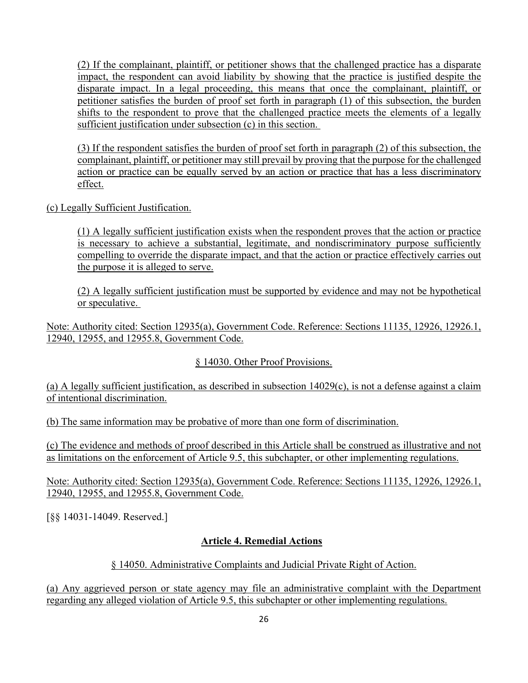(2) If the complainant, plaintiff, or petitioner shows that the challenged practice has a disparate impact, the respondent can avoid liability by showing that the practice is justified despite the disparate impact. In a legal proceeding, this means that once the complainant, plaintiff, or petitioner satisfies the burden of proof set forth in paragraph (1) of this subsection, the burden shifts to the respondent to prove that the challenged practice meets the elements of a legally sufficient justification under subsection (c) in this section.

(3) If the respondent satisfies the burden of proof set forth in paragraph (2) of this subsection, the complainant, plaintiff, or petitioner may still prevail by proving that the purpose for the challenged action or practice can be equally served by an action or practice that has a less discriminatory effect.

(c) Legally Sufficient Justification.

(1) A legally sufficient justification exists when the respondent proves that the action or practice is necessary to achieve a substantial, legitimate, and nondiscriminatory purpose sufficiently compelling to override the disparate impact, and that the action or practice effectively carries out the purpose it is alleged to serve.

(2) A legally sufficient justification must be supported by evidence and may not be hypothetical or speculative.

Note: Authority cited: Section 12935(a), Government Code. Reference: Sections 11135, 12926, 12926.1, 12940, 12955, and 12955.8, Government Code.

## § 14030. Other Proof Provisions.

(a) A legally sufficient justification, as described in subsection 14029(c), is not a defense against a claim of intentional discrimination.

(b) The same information may be probative of more than one form of discrimination.

(c) The evidence and methods of proof described in this Article shall be construed as illustrative and not as limitations on the enforcement of Article 9.5, this subchapter, or other implementing regulations.

Note: Authority cited: Section 12935(a), Government Code. Reference: Sections 11135, 12926, 12926.1, 12940, 12955, and 12955.8, Government Code.

[§§ 14031-14049. Reserved.]

## **Article 4. Remedial Actions**

## § 14050. Administrative Complaints and Judicial Private Right of Action.

(a) Any aggrieved person or state agency may file an administrative complaint with the Department regarding any alleged violation of Article 9.5, this subchapter or other implementing regulations.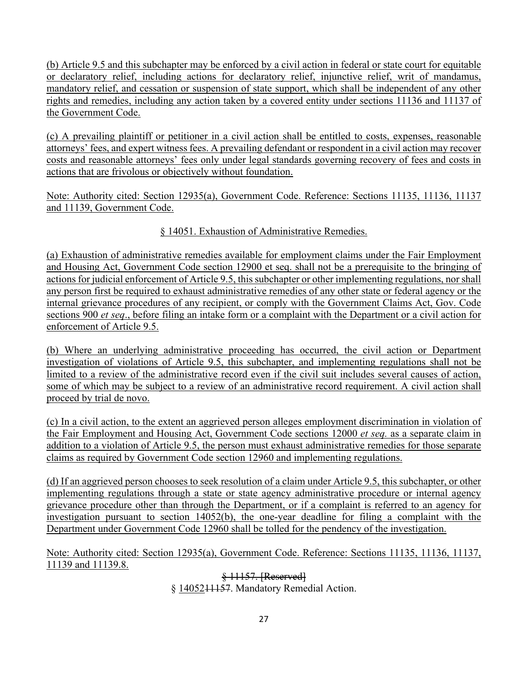(b) Article 9.5 and this subchapter may be enforced by a civil action in federal or state court for equitable or declaratory relief, including actions for declaratory relief, injunctive relief, writ of mandamus, mandatory relief, and cessation or suspension of state support, which shall be independent of any other rights and remedies, including any action taken by a covered entity under sections 11136 and 11137 of the Government Code.

(c) A prevailing plaintiff or petitioner in a civil action shall be entitled to costs, expenses, reasonable attorneys' fees, and expert witness fees. A prevailing defendant or respondent in a civil action may recover costs and reasonable attorneys' fees only under legal standards governing recovery of fees and costs in actions that are frivolous or objectively without foundation.

Note: Authority cited: Section 12935(a), Government Code. Reference: Sections 11135, 11136, 11137 and 11139, Government Code.

§ 14051. Exhaustion of Administrative Remedies.

(a) Exhaustion of administrative remedies available for employment claims under the Fair Employment and Housing Act, Government Code section 12900 et seq. shall not be a prerequisite to the bringing of actions for judicial enforcement of Article 9.5, this subchapter or other implementing regulations, nor shall any person first be required to exhaust administrative remedies of any other state or federal agency or the internal grievance procedures of any recipient, or comply with the Government Claims Act, Gov. Code sections 900 *et seq*., before filing an intake form or a complaint with the Department or a civil action for enforcement of Article 9.5.

(b) Where an underlying administrative proceeding has occurred, the civil action or Department investigation of violations of Article 9.5, this subchapter, and implementing regulations shall not be limited to a review of the administrative record even if the civil suit includes several causes of action, some of which may be subject to a review of an administrative record requirement. A civil action shall proceed by trial de novo.

(c) In a civil action, to the extent an aggrieved person alleges employment discrimination in violation of the Fair Employment and Housing Act, Government Code sections 12000 *et seq.* as a separate claim in addition to a violation of Article 9.5, the person must exhaust administrative remedies for those separate claims as required by Government Code section 12960 and implementing regulations.

(d) If an aggrieved person chooses to seek resolution of a claim under Article 9.5, this subchapter, or other implementing regulations through a state or state agency administrative procedure or internal agency grievance procedure other than through the Department, or if a complaint is referred to an agency for investigation pursuant to section 14052(b), the one-year deadline for filing a complaint with the Department under Government Code 12960 shall be tolled for the pendency of the investigation.

Note: Authority cited: Section 12935(a), Government Code. Reference: Sections 11135, 11136, 11137, 11139 and 11139.8.

> § 11157. [Reserved] § 1405211157. Mandatory Remedial Action.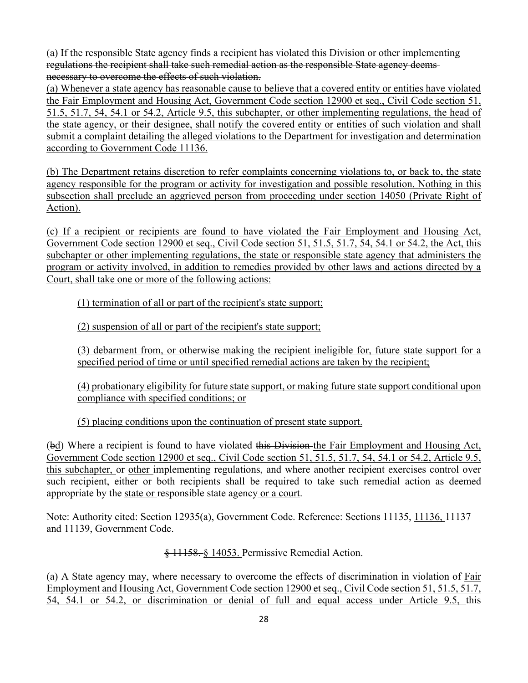(a) If the responsible State agency finds a recipient has violated this Division or other implementing regulations the recipient shall take such remedial action as the responsible State agency deems necessary to overcome the effects of such violation.

(a) Whenever a state agency has reasonable cause to believe that a covered entity or entities have violated the Fair Employment and Housing Act, Government Code section 12900 et seq., Civil Code section 51, 51.5, 51.7, 54, 54.1 or 54.2, Article 9.5, this subchapter, or other implementing regulations, the head of the state agency, or their designee, shall notify the covered entity or entities of such violation and shall submit a complaint detailing the alleged violations to the Department for investigation and determination according to Government Code 11136.

(b) The Department retains discretion to refer complaints concerning violations to, or back to, the state agency responsible for the program or activity for investigation and possible resolution. Nothing in this subsection shall preclude an aggrieved person from proceeding under section 14050 (Private Right of Action).

(c) If a recipient or recipients are found to have violated the Fair Employment and Housing Act, Government Code section 12900 et seq., Civil Code section 51, 51.5, 51.7, 54, 54.1 or 54.2, the Act, this subchapter or other implementing regulations, the state or responsible state agency that administers the program or activity involved, in addition to remedies provided by other laws and actions directed by a Court, shall take one or more of the following actions:

(1) termination of all or part of the recipient's state support;

(2) suspension of all or part of the recipient's state support;

(3) debarment from, or otherwise making the recipient ineligible for, future state support for a specified period of time or until specified remedial actions are taken by the recipient;

(4) probationary eligibility for future state support, or making future state support conditional upon compliance with specified conditions; or

(5) placing conditions upon the continuation of present state support.

(bd) Where a recipient is found to have violated this Division the Fair Employment and Housing Act, Government Code section 12900 et seq., Civil Code section 51, 51.5, 51.7, 54, 54.1 or 54.2, Article 9.5, this subchapter, or other implementing regulations, and where another recipient exercises control over such recipient, either or both recipients shall be required to take such remedial action as deemed appropriate by the state or responsible state agency or a court.

Note: Authority cited: Section 12935(a), Government Code. Reference: Sections 11135, 11136, 11137 and 11139, Government Code.

§ 11158. § 14053. Permissive Remedial Action.

(a) A State agency may, where necessary to overcome the effects of discrimination in violation of Fair Employment and Housing Act, Government Code section 12900 et seq., Civil Code section 51, 51.5, 51.7, 54, 54.1 or 54.2, or discrimination or denial of full and equal access under Article 9.5, this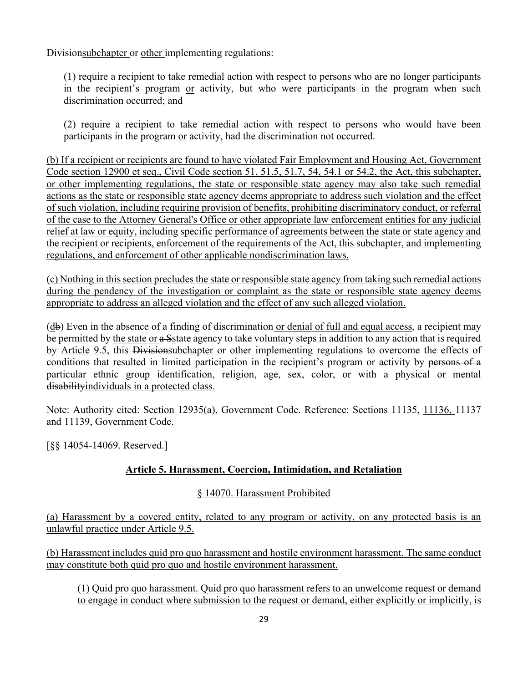Divisionsubchapter or other implementing regulations:

(1) require a recipient to take remedial action with respect to persons who are no longer participants in the recipient's program or activity, but who were participants in the program when such discrimination occurred; and

(2) require a recipient to take remedial action with respect to persons who would have been participants in the program or activity, had the discrimination not occurred.

(b) If a recipient or recipients are found to have violated Fair Employment and Housing Act, Government Code section 12900 et seq., Civil Code section 51, 51.5, 51.7, 54, 54.1 or 54.2, the Act, this subchapter, or other implementing regulations, the state or responsible state agency may also take such remedial actions as the state or responsible state agency deems appropriate to address such violation and the effect of such violation, including requiring provision of benefits, prohibiting discriminatory conduct, or referral of the case to the Attorney General's Office or other appropriate law enforcement entities for any judicial relief at law or equity, including specific performance of agreements between the state or state agency and the recipient or recipients, enforcement of the requirements of the Act, this subchapter, and implementing regulations, and enforcement of other applicable nondiscrimination laws.

(c) Nothing in this section precludes the state or responsible state agency from taking such remedial actions during the pendency of the investigation or complaint as the state or responsible state agency deems appropriate to address an alleged violation and the effect of any such alleged violation.

(db) Even in the absence of a finding of discrimination or denial of full and equal access, a recipient may be permitted by the state or a Setate agency to take voluntary steps in addition to any action that is required by Article 9.5, this Divisionsubchapter or other implementing regulations to overcome the effects of conditions that resulted in limited participation in the recipient's program or activity by persons of a particular ethnic group identification, religion, age, sex, color, or with a physical or mental disabilityindividuals in a protected class.

Note: Authority cited: Section 12935(a), Government Code. Reference: Sections 11135, 11136, 11137 and 11139, Government Code.

[§§ 14054-14069. Reserved.]

## **Article 5. Harassment, Coercion, Intimidation, and Retaliation**

#### § 14070. Harassment Prohibited

(a) Harassment by a covered entity, related to any program or activity, on any protected basis is an unlawful practice under Article 9.5.

(b) Harassment includes quid pro quo harassment and hostile environment harassment. The same conduct may constitute both quid pro quo and hostile environment harassment.

(1) Quid pro quo harassment. Quid pro quo harassment refers to an unwelcome request or demand to engage in conduct where submission to the request or demand, either explicitly or implicitly, is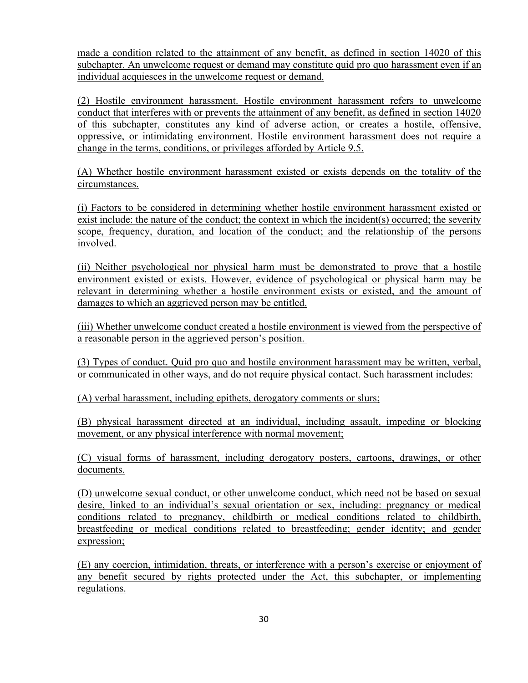made a condition related to the attainment of any benefit, as defined in section 14020 of this subchapter. An unwelcome request or demand may constitute quid pro quo harassment even if an individual acquiesces in the unwelcome request or demand.

(2) Hostile environment harassment. Hostile environment harassment refers to unwelcome conduct that interferes with or prevents the attainment of any benefit, as defined in section 14020 of this subchapter, constitutes any kind of adverse action, or creates a hostile, offensive, oppressive, or intimidating environment. Hostile environment harassment does not require a change in the terms, conditions, or privileges afforded by Article 9.5.

(A) Whether hostile environment harassment existed or exists depends on the totality of the circumstances.

(i) Factors to be considered in determining whether hostile environment harassment existed or exist include: the nature of the conduct; the context in which the incident(s) occurred; the severity scope, frequency, duration, and location of the conduct; and the relationship of the persons involved.

(ii) Neither psychological nor physical harm must be demonstrated to prove that a hostile environment existed or exists. However, evidence of psychological or physical harm may be relevant in determining whether a hostile environment exists or existed, and the amount of damages to which an aggrieved person may be entitled.

(iii) Whether unwelcome conduct created a hostile environment is viewed from the perspective of a reasonable person in the aggrieved person's position.

(3) Types of conduct. Quid pro quo and hostile environment harassment may be written, verbal, or communicated in other ways, and do not require physical contact. Such harassment includes:

(A) verbal harassment, including epithets, derogatory comments or slurs;

(B) physical harassment directed at an individual, including assault, impeding or blocking movement, or any physical interference with normal movement;

(C) visual forms of harassment, including derogatory posters, cartoons, drawings, or other documents.

(D) unwelcome sexual conduct, or other unwelcome conduct, which need not be based on sexual desire, linked to an individual's sexual orientation or sex, including: pregnancy or medical conditions related to pregnancy, childbirth or medical conditions related to childbirth, breastfeeding or medical conditions related to breastfeeding; gender identity; and gender expression;

(E) any coercion, intimidation, threats, or interference with a person's exercise or enjoyment of any benefit secured by rights protected under the Act, this subchapter, or implementing regulations.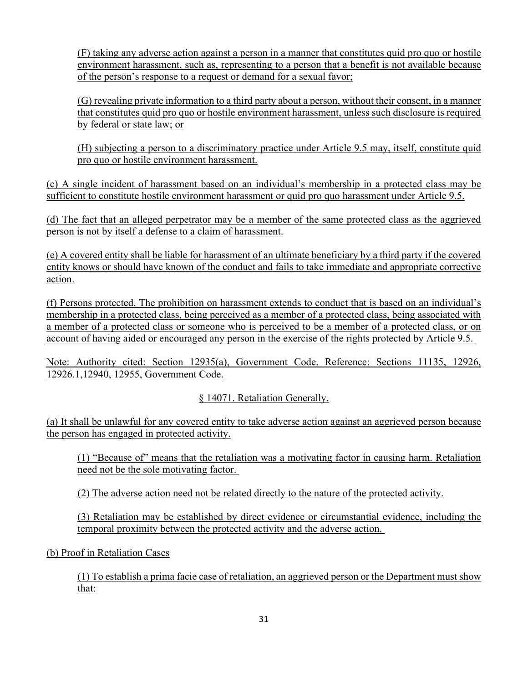(F) taking any adverse action against a person in a manner that constitutes quid pro quo or hostile environment harassment, such as, representing to a person that a benefit is not available because of the person's response to a request or demand for a sexual favor;

(G) revealing private information to a third party about a person, without their consent, in a manner that constitutes quid pro quo or hostile environment harassment, unless such disclosure is required by federal or state law; or

(H) subjecting a person to a discriminatory practice under Article 9.5 may, itself, constitute quid pro quo or hostile environment harassment.

(c) A single incident of harassment based on an individual's membership in a protected class may be sufficient to constitute hostile environment harassment or quid pro quo harassment under Article 9.5.

(d) The fact that an alleged perpetrator may be a member of the same protected class as the aggrieved person is not by itself a defense to a claim of harassment.

(e) A covered entity shall be liable for harassment of an ultimate beneficiary by a third party if the covered entity knows or should have known of the conduct and fails to take immediate and appropriate corrective action.

(f) Persons protected. The prohibition on harassment extends to conduct that is based on an individual's membership in a protected class, being perceived as a member of a protected class, being associated with a member of a protected class or someone who is perceived to be a member of a protected class, or on account of having aided or encouraged any person in the exercise of the rights protected by Article 9.5.

Note: Authority cited: Section 12935(a), Government Code. Reference: Sections 11135, 12926, 12926.1,12940, 12955, Government Code.

§ 14071. Retaliation Generally.

(a) It shall be unlawful for any covered entity to take adverse action against an aggrieved person because the person has engaged in protected activity.

(1) "Because of" means that the retaliation was a motivating factor in causing harm. Retaliation need not be the sole motivating factor.

(2) The adverse action need not be related directly to the nature of the protected activity.

(3) Retaliation may be established by direct evidence or circumstantial evidence, including the temporal proximity between the protected activity and the adverse action.

(b) Proof in Retaliation Cases

(1) To establish a prima facie case of retaliation, an aggrieved person or the Department must show that: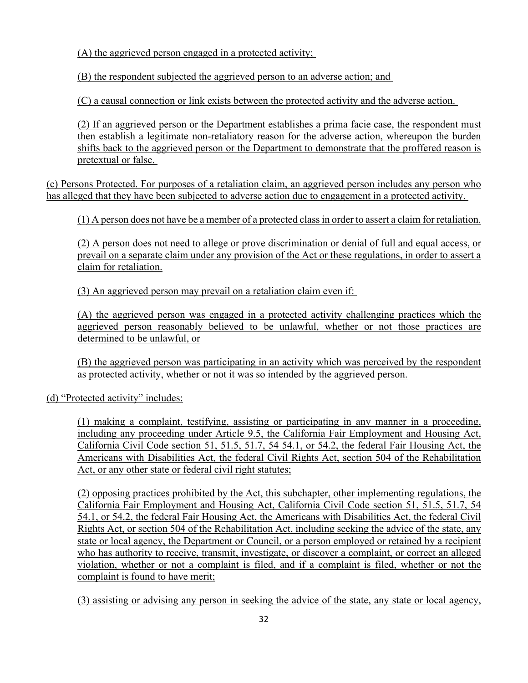(A) the aggrieved person engaged in a protected activity;

(B) the respondent subjected the aggrieved person to an adverse action; and

(C) a causal connection or link exists between the protected activity and the adverse action.

(2) If an aggrieved person or the Department establishes a prima facie case, the respondent must then establish a legitimate non-retaliatory reason for the adverse action, whereupon the burden shifts back to the aggrieved person or the Department to demonstrate that the proffered reason is pretextual or false.

(c) Persons Protected. For purposes of a retaliation claim, an aggrieved person includes any person who has alleged that they have been subjected to adverse action due to engagement in a protected activity.

(1) A person does not have be a member of a protected class in order to assert a claim for retaliation.

(2) A person does not need to allege or prove discrimination or denial of full and equal access, or prevail on a separate claim under any provision of the Act or these regulations, in order to assert a claim for retaliation.

(3) An aggrieved person may prevail on a retaliation claim even if:

(A) the aggrieved person was engaged in a protected activity challenging practices which the aggrieved person reasonably believed to be unlawful, whether or not those practices are determined to be unlawful, or

(B) the aggrieved person was participating in an activity which was perceived by the respondent as protected activity, whether or not it was so intended by the aggrieved person.

(d) "Protected activity" includes:

(1) making a complaint, testifying, assisting or participating in any manner in a proceeding, including any proceeding under Article 9.5, the California Fair Employment and Housing Act, California Civil Code section 51, 51.5, 51.7, 54 54.1, or 54.2, the federal Fair Housing Act, the Americans with Disabilities Act, the federal Civil Rights Act, section 504 of the Rehabilitation Act, or any other state or federal civil right statutes;

(2) opposing practices prohibited by the Act, this subchapter, other implementing regulations, the California Fair Employment and Housing Act, California Civil Code section 51, 51.5, 51.7, 54 54.1, or 54.2, the federal Fair Housing Act, the Americans with Disabilities Act, the federal Civil Rights Act, or section 504 of the Rehabilitation Act, including seeking the advice of the state, any state or local agency, the Department or Council, or a person employed or retained by a recipient who has authority to receive, transmit, investigate, or discover a complaint, or correct an alleged violation, whether or not a complaint is filed, and if a complaint is filed, whether or not the complaint is found to have merit;

(3) assisting or advising any person in seeking the advice of the state, any state or local agency,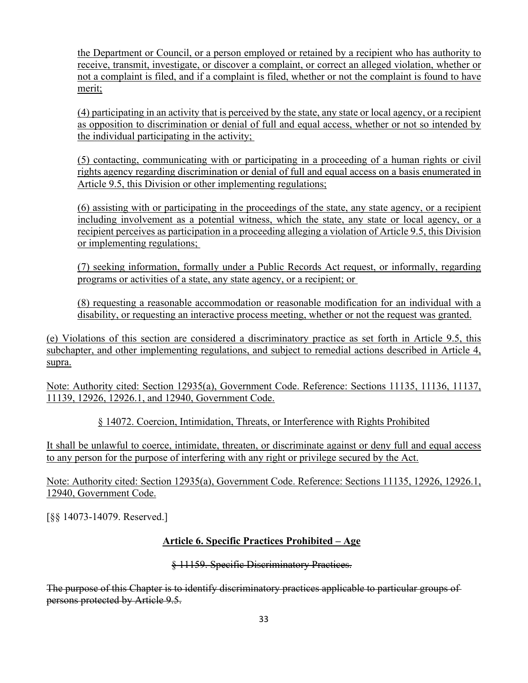the Department or Council, or a person employed or retained by a recipient who has authority to receive, transmit, investigate, or discover a complaint, or correct an alleged violation, whether or not a complaint is filed, and if a complaint is filed, whether or not the complaint is found to have merit;

(4) participating in an activity that is perceived by the state, any state or local agency, or a recipient as opposition to discrimination or denial of full and equal access, whether or not so intended by the individual participating in the activity;

(5) contacting, communicating with or participating in a proceeding of a human rights or civil rights agency regarding discrimination or denial of full and equal access on a basis enumerated in Article 9.5, this Division or other implementing regulations;

(6) assisting with or participating in the proceedings of the state, any state agency, or a recipient including involvement as a potential witness, which the state, any state or local agency, or a recipient perceives as participation in a proceeding alleging a violation of Article 9.5, this Division or implementing regulations;

(7) seeking information, formally under a Public Records Act request, or informally, regarding programs or activities of a state, any state agency, or a recipient; or

(8) requesting a reasonable accommodation or reasonable modification for an individual with a disability, or requesting an interactive process meeting, whether or not the request was granted.

(e) Violations of this section are considered a discriminatory practice as set forth in Article 9.5, this subchapter, and other implementing regulations, and subject to remedial actions described in Article 4, supra.

Note: Authority cited: Section 12935(a), Government Code. Reference: Sections 11135, 11136, 11137, 11139, 12926, 12926.1, and 12940, Government Code.

§ 14072. Coercion, Intimidation, Threats, or Interference with Rights Prohibited

It shall be unlawful to coerce, intimidate, threaten, or discriminate against or deny full and equal access to any person for the purpose of interfering with any right or privilege secured by the Act.

Note: Authority cited: Section 12935(a), Government Code. Reference: Sections 11135, 12926, 12926.1, 12940, Government Code.

[§§ 14073-14079. Reserved.]

## **Article 6. Specific Practices Prohibited – Age**

§ 11159. Specific Discriminatory Practices.

The purpose of this Chapter is to identify discriminatory practices applicable to particular groups of persons protected by Article 9.5.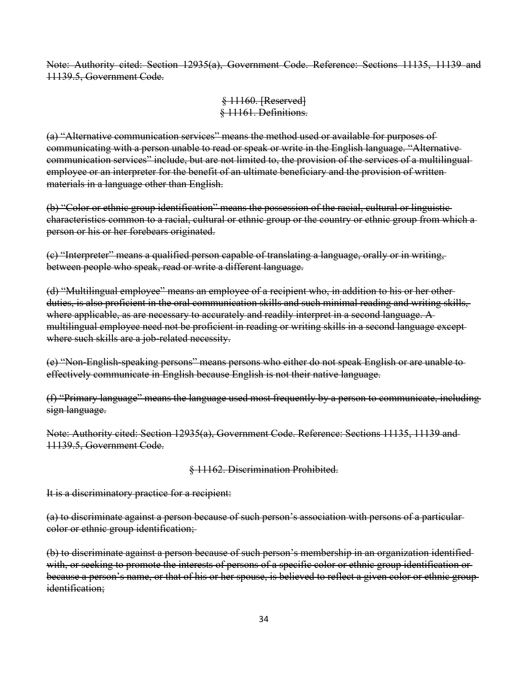Note: Authority cited: Section 12935(a), Government Code. Reference: Sections 11135, 11139 and 11139.5, Government Code.

> § 11160. [Reserved] § 11161. Definitions.

(a) "Alternative communication services" means the method used or available for purposes of communicating with a person unable to read or speak or write in the English language. "Alternative communication services" include, but are not limited to, the provision of the services of a multilingual employee or an interpreter for the benefit of an ultimate beneficiary and the provision of written materials in a language other than English.

(b) "Color or ethnic group identification" means the possession of the racial, cultural or linguistic characteristics common to a racial, cultural or ethnic group or the country or ethnic group from which a person or his or her forebears originated.

(c) "Interpreter" means a qualified person capable of translating a language, orally or in writing, between people who speak, read or write a different language.

(d) "Multilingual employee" means an employee of a recipient who, in addition to his or her other duties, is also proficient in the oral communication skills and such minimal reading and writing skills, where applicable, as are necessary to accurately and readily interpret in a second language. A multilingual employee need not be proficient in reading or writing skills in a second language except where such skills are a job-related necessity.

(e) "Non-English-speaking persons" means persons who either do not speak English or are unable to effectively communicate in English because English is not their native language.

(f) "Primary language" means the language used most frequently by a person to communicate, including sign language.

Note: Authority cited: Section 12935(a), Government Code. Reference: Sections 11135, 11139 and 11139.5, Government Code.

§ 11162. Discrimination Prohibited.

It is a discriminatory practice for a recipient:

(a) to discriminate against a person because of such person's association with persons of a particular color or ethnic group identification;

(b) to discriminate against a person because of such person's membership in an organization identified with, or seeking to promote the interests of persons of a specific color or ethnic group identification or because a person's name, or that of his or her spouse, is believed to reflect a given color or ethnic group identification;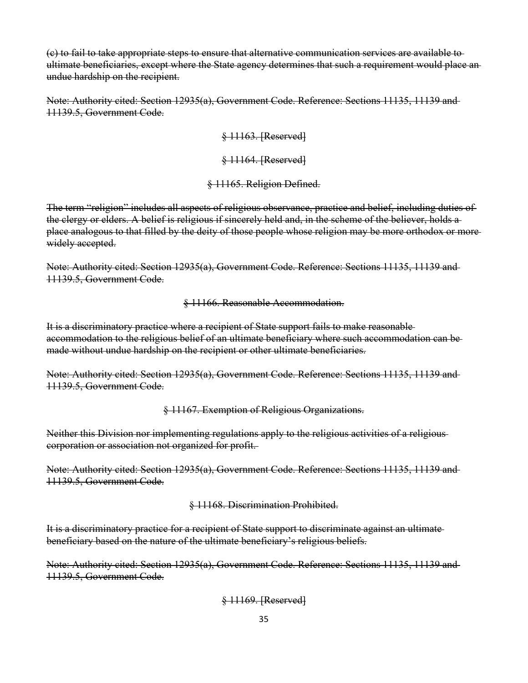(c) to fail to take appropriate steps to ensure that alternative communication services are available to ultimate beneficiaries, except where the State agency determines that such a requirement would place an undue hardship on the recipient.

Note: Authority cited: Section 12935(a), Government Code. Reference: Sections 11135, 11139 and 11139.5, Government Code.

> § 11163. [Reserved] § 11164. [Reserved] § 11165. Religion Defined.

The term "religion" includes all aspects of religious observance, practice and belief, including duties of the clergy or elders. A belief is religious if sincerely held and, in the scheme of the believer, holds a place analogous to that filled by the deity of those people whose religion may be more orthodox or more widely accepted.

Note: Authority cited: Section 12935(a), Government Code. Reference: Sections 11135, 11139 and 11139.5, Government Code.

§ 11166. Reasonable Accommodation.

It is a discriminatory practice where a recipient of State support fails to make reasonable accommodation to the religious belief of an ultimate beneficiary where such accommodation can be made without undue hardship on the recipient or other ultimate beneficiaries.

Note: Authority cited: Section 12935(a), Government Code. Reference: Sections 11135, 11139 and 11139.5, Government Code.

§ 11167. Exemption of Religious Organizations.

Neither this Division nor implementing regulations apply to the religious activities of a religious corporation or association not organized for profit.

Note: Authority cited: Section 12935(a), Government Code. Reference: Sections 11135, 11139 and 11139.5, Government Code.

§ 11168. Discrimination Prohibited.

It is a discriminatory practice for a recipient of State support to discriminate against an ultimate beneficiary based on the nature of the ultimate beneficiary's religious beliefs.

Note: Authority cited: Section 12935(a), Government Code. Reference: Sections 11135, 11139 and 11139.5, Government Code.

§ 11169. [Reserved]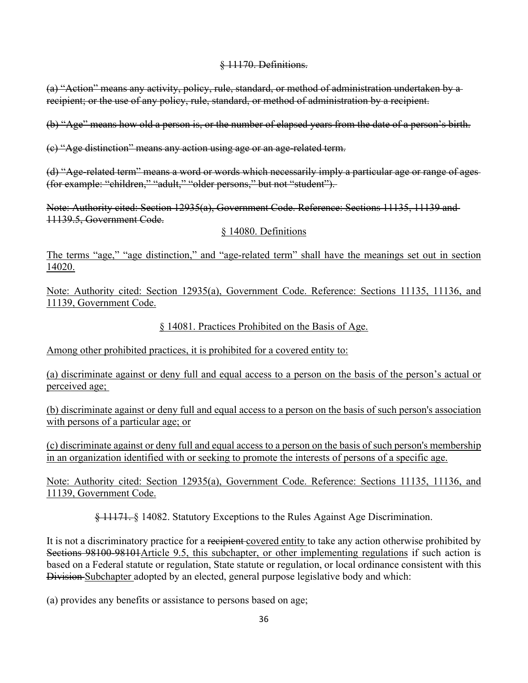#### § 11170. Definitions.

(a) "Action" means any activity, policy, rule, standard, or method of administration undertaken by a recipient; or the use of any policy, rule, standard, or method of administration by a recipient.

(b) "Age" means how old a person is, or the number of elapsed years from the date of a person's birth.

(c) "Age distinction" means any action using age or an age-related term.

(d) "Age-related term" means a word or words which necessarily imply a particular age or range of ages (for example: "children," "adult," "older persons," but not "student").

Note: Authority cited: Section 12935(a), Government Code. Reference: Sections 11135, 11139 and 11139.5, Government Code.

#### § 14080. Definitions

The terms "age," "age distinction," and "age-related term" shall have the meanings set out in section 14020.

Note: Authority cited: Section 12935(a), Government Code. Reference: Sections 11135, 11136, and 11139, Government Code.

§ 14081. Practices Prohibited on the Basis of Age.

Among other prohibited practices, it is prohibited for a covered entity to:

(a) discriminate against or deny full and equal access to a person on the basis of the person's actual or perceived age;

(b) discriminate against or deny full and equal access to a person on the basis of such person's association with persons of a particular age; or

(c) discriminate against or deny full and equal access to a person on the basis of such person's membership in an organization identified with or seeking to promote the interests of persons of a specific age.

Note: Authority cited: Section 12935(a), Government Code. Reference: Sections 11135, 11136, and 11139, Government Code.

§ 11171. § 14082. Statutory Exceptions to the Rules Against Age Discrimination.

It is not a discriminatory practice for a recipient covered entity to take any action otherwise prohibited by Sections 98100-98101Article 9.5, this subchapter, or other implementing regulations if such action is based on a Federal statute or regulation, State statute or regulation, or local ordinance consistent with this Division Subchapter adopted by an elected, general purpose legislative body and which:

(a) provides any benefits or assistance to persons based on age;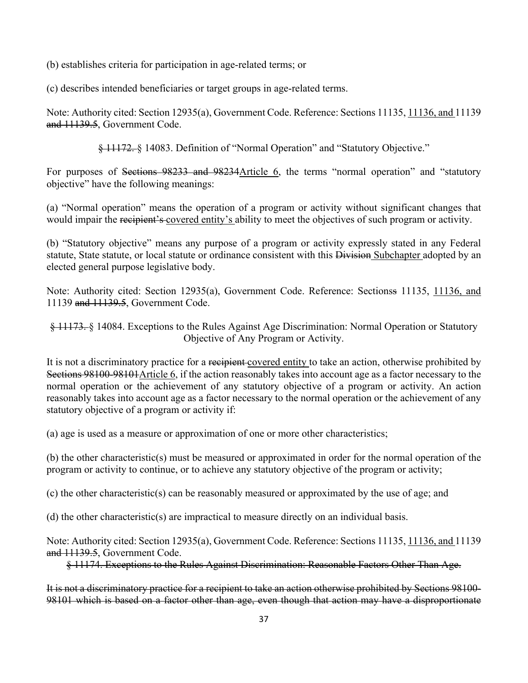(b) establishes criteria for participation in age-related terms; or

(c) describes intended beneficiaries or target groups in age-related terms.

Note: Authority cited: Section 12935(a), Government Code. Reference: Sections 11135, 11136, and 11139 and 11139.5, Government Code.

§ 11172. § 14083. Definition of "Normal Operation" and "Statutory Objective."

For purposes of Sections 98233 and 98234Article 6, the terms "normal operation" and "statutory objective" have the following meanings:

(a) "Normal operation" means the operation of a program or activity without significant changes that would impair the recipient's covered entity's ability to meet the objectives of such program or activity.

(b) "Statutory objective" means any purpose of a program or activity expressly stated in any Federal statute, State statute, or local statute or ordinance consistent with this Division Subchapter adopted by an elected general purpose legislative body.

Note: Authority cited: Section 12935(a), Government Code. Reference: Sectionss 11135, 11136, and 11139 and 11139.5, Government Code.

§ 11173. § 14084. Exceptions to the Rules Against Age Discrimination: Normal Operation or Statutory Objective of Any Program or Activity.

It is not a discriminatory practice for a recipient covered entity to take an action, otherwise prohibited by Sections 98100-98101 Article 6, if the action reasonably takes into account age as a factor necessary to the normal operation or the achievement of any statutory objective of a program or activity. An action reasonably takes into account age as a factor necessary to the normal operation or the achievement of any statutory objective of a program or activity if:

(a) age is used as a measure or approximation of one or more other characteristics;

(b) the other characteristic(s) must be measured or approximated in order for the normal operation of the program or activity to continue, or to achieve any statutory objective of the program or activity;

(c) the other characteristic(s) can be reasonably measured or approximated by the use of age; and

(d) the other characteristic(s) are impractical to measure directly on an individual basis.

Note: Authority cited: Section 12935(a), Government Code. Reference: Sections 11135, 11136, and 11139 and 11139.5, Government Code.

§ 11174. Exceptions to the Rules Against Discrimination: Reasonable Factors Other Than Age.

It is not a discriminatory practice for a recipient to take an action otherwise prohibited by Sections 98100- 98101 which is based on a factor other than age, even though that action may have a disproportionate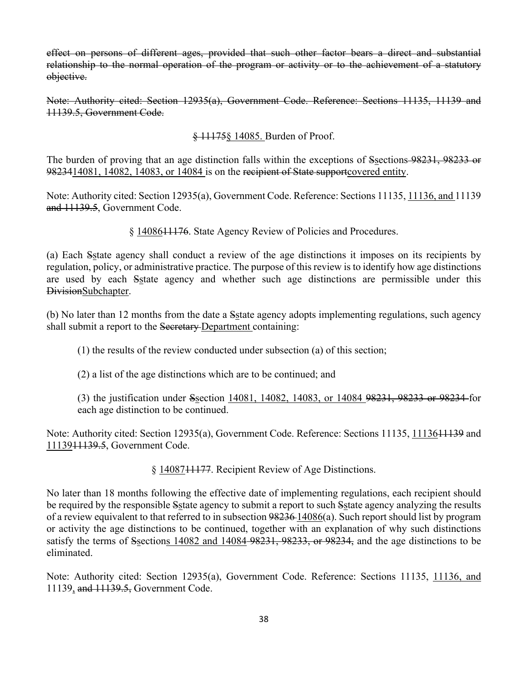effect on persons of different ages, provided that such other factor bears a direct and substantial relationship to the normal operation of the program or activity or to the achievement of a statutory objective.

Note: Authority cited: Section 12935(a), Government Code. Reference: Sections 11135, 11139 and 11139.5, Government Code.

§ 11175§ 14085. Burden of Proof.

The burden of proving that an age distinction falls within the exceptions of Ssections 98231, 98233 or 9823414081, 14082, 14083, or 14084 is on the recipient of State support covered entity.

Note: Authority cited: Section 12935(a), Government Code. Reference: Sections 11135, 11136, and 11139 and 11139.5, Government Code.

§ 1408611176. State Agency Review of Policies and Procedures.

(a) Each Sstate agency shall conduct a review of the age distinctions it imposes on its recipients by regulation, policy, or administrative practice. The purpose of this review is to identify how age distinctions are used by each Sstate agency and whether such age distinctions are permissible under this DivisionSubchapter.

(b) No later than 12 months from the date a Sstate agency adopts implementing regulations, such agency shall submit a report to the Secretary-Department containing:

(1) the results of the review conducted under subsection (a) of this section;

(2) a list of the age distinctions which are to be continued; and

(3) the justification under Ssection 14081, 14082, 14083, or 14084 98231, 98233 or 98234 for each age distinction to be continued.

Note: Authority cited: Section 12935(a), Government Code. Reference: Sections 11135, 11136<del>11139</del> and 1113911139.5, Government Code.

§ 1408741177. Recipient Review of Age Distinctions.

No later than 18 months following the effective date of implementing regulations, each recipient should be required by the responsible Sstate agency to submit a report to such Sstate agency analyzing the results of a review equivalent to that referred to in subsection 98236 14086(a). Such report should list by program or activity the age distinctions to be continued, together with an explanation of why such distinctions satisfy the terms of Ssections 14082 and 14084 98231, 98233, or 98234, and the age distinctions to be eliminated.

Note: Authority cited: Section 12935(a), Government Code. Reference: Sections 11135, 11136, and 11139, and 11139.5, Government Code.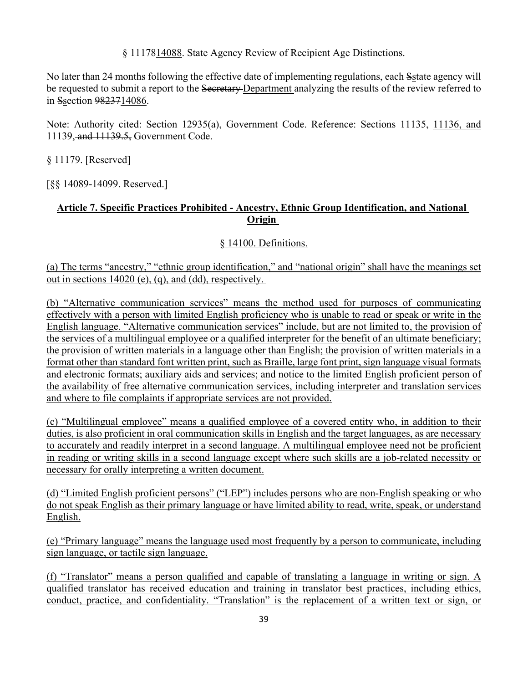§ 1117814088. State Agency Review of Recipient Age Distinctions.

No later than 24 months following the effective date of implementing regulations, each Sstate agency will be requested to submit a report to the Secretary-Department analyzing the results of the review referred to in Ssection 9823714086.

Note: Authority cited: Section 12935(a), Government Code. Reference: Sections 11135, 11136, and 11139, and 11139.5, Government Code.

§ 11179. [Reserved]

[§§ 14089-14099. Reserved.]

## **Article 7. Specific Practices Prohibited - Ancestry, Ethnic Group Identification, and National Origin**

#### § 14100. Definitions.

(a) The terms "ancestry," "ethnic group identification," and "national origin" shall have the meanings set out in sections 14020 (e), (q), and (dd), respectively.

(b) "Alternative communication services" means the method used for purposes of communicating effectively with a person with limited English proficiency who is unable to read or speak or write in the English language. "Alternative communication services" include, but are not limited to, the provision of the services of a multilingual employee or a qualified interpreter for the benefit of an ultimate beneficiary; the provision of written materials in a language other than English; the provision of written materials in a format other than standard font written print, such as Braille, large font print, sign language visual formats and electronic formats; auxiliary aids and services; and notice to the limited English proficient person of the availability of free alternative communication services, including interpreter and translation services and where to file complaints if appropriate services are not provided.

(c) "Multilingual employee" means a qualified employee of a covered entity who, in addition to their duties, is also proficient in oral communication skills in English and the target languages, as are necessary to accurately and readily interpret in a second language. A multilingual employee need not be proficient in reading or writing skills in a second language except where such skills are a job-related necessity or necessary for orally interpreting a written document.

(d) "Limited English proficient persons" ("LEP") includes persons who are non-English speaking or who do not speak English as their primary language or have limited ability to read, write, speak, or understand English.

(e) "Primary language" means the language used most frequently by a person to communicate, including sign language, or tactile sign language.

(f) "Translator" means a person qualified and capable of translating a language in writing or sign. A qualified translator has received education and training in translator best practices, including ethics, conduct, practice, and confidentiality. "Translation" is the replacement of a written text or sign, or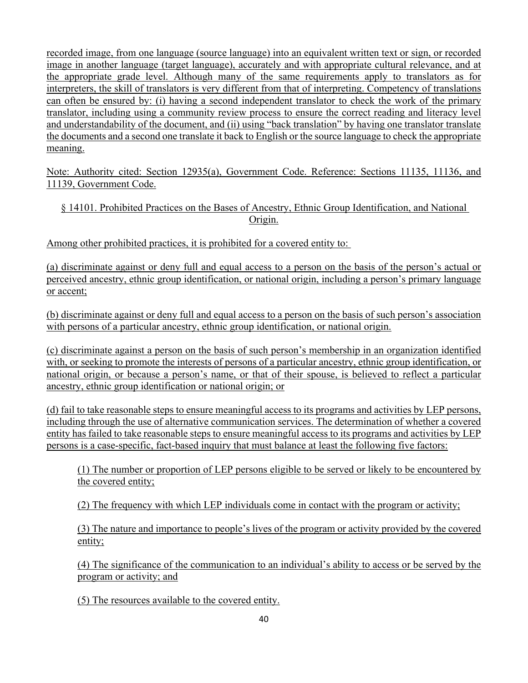recorded image, from one language (source language) into an equivalent written text or sign, or recorded image in another language (target language), accurately and with appropriate cultural relevance, and at the appropriate grade level. Although many of the same requirements apply to translators as for interpreters, the skill of translators is very different from that of interpreting. Competency of translations can often be ensured by: (i) having a second independent translator to check the work of the primary translator, including using a community review process to ensure the correct reading and literacy level and understandability of the document, and (ii) using "back translation" by having one translator translate the documents and a second one translate it back to English or the source language to check the appropriate meaning.

Note: Authority cited: Section 12935(a), Government Code. Reference: Sections 11135, 11136, and 11139, Government Code.

## § 14101. Prohibited Practices on the Bases of Ancestry, Ethnic Group Identification, and National Origin.

Among other prohibited practices, it is prohibited for a covered entity to:

(a) discriminate against or deny full and equal access to a person on the basis of the person's actual or perceived ancestry, ethnic group identification, or national origin, including a person's primary language or accent;

(b) discriminate against or deny full and equal access to a person on the basis of such person's association with persons of a particular ancestry, ethnic group identification, or national origin.

(c) discriminate against a person on the basis of such person's membership in an organization identified with, or seeking to promote the interests of persons of a particular ancestry, ethnic group identification, or national origin, or because a person's name, or that of their spouse, is believed to reflect a particular ancestry, ethnic group identification or national origin; or

(d) fail to take reasonable steps to ensure meaningful access to its programs and activities by LEP persons, including through the use of alternative communication services. The determination of whether a covered entity has failed to take reasonable steps to ensure meaningful access to its programs and activities by LEP persons is a case-specific, fact-based inquiry that must balance at least the following five factors:

(1) The number or proportion of LEP persons eligible to be served or likely to be encountered by the covered entity;

(2) The frequency with which LEP individuals come in contact with the program or activity;

(3) The nature and importance to people's lives of the program or activity provided by the covered entity;

(4) The significance of the communication to an individual's ability to access or be served by the program or activity; and

(5) The resources available to the covered entity.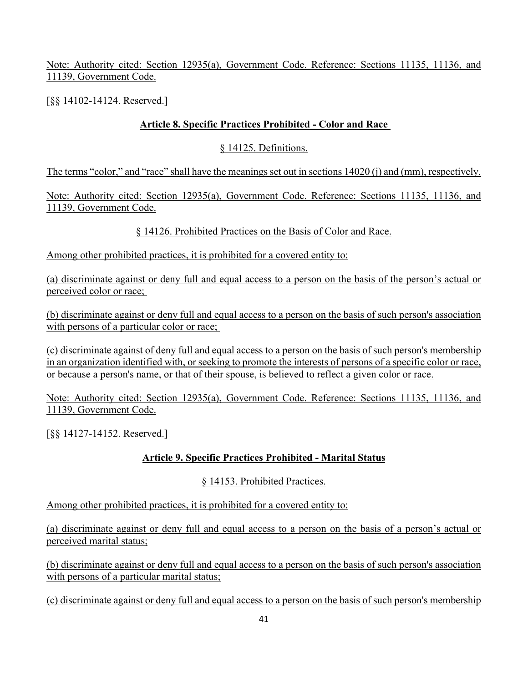Note: Authority cited: Section 12935(a), Government Code. Reference: Sections 11135, 11136, and 11139, Government Code.

[§§ 14102-14124. Reserved.]

## **Article 8. Specific Practices Prohibited - Color and Race**

#### § 14125. Definitions.

The terms "color," and "race" shall have the meanings set out in sections 14020 (j) and (mm), respectively.

Note: Authority cited: Section 12935(a), Government Code. Reference: Sections 11135, 11136, and 11139, Government Code.

§ 14126. Prohibited Practices on the Basis of Color and Race.

Among other prohibited practices, it is prohibited for a covered entity to:

(a) discriminate against or deny full and equal access to a person on the basis of the person's actual or perceived color or race;

(b) discriminate against or deny full and equal access to a person on the basis of such person's association with persons of a particular color or race;

(c) discriminate against of deny full and equal access to a person on the basis of such person's membership in an organization identified with, or seeking to promote the interests of persons of a specific color or race, or because a person's name, or that of their spouse, is believed to reflect a given color or race.

Note: Authority cited: Section 12935(a), Government Code. Reference: Sections 11135, 11136, and 11139, Government Code.

[§§ 14127-14152. Reserved.]

## **Article 9. Specific Practices Prohibited - Marital Status**

## § 14153. Prohibited Practices.

Among other prohibited practices, it is prohibited for a covered entity to:

(a) discriminate against or deny full and equal access to a person on the basis of a person's actual or perceived marital status;

(b) discriminate against or deny full and equal access to a person on the basis of such person's association with persons of a particular marital status;

(c) discriminate against or deny full and equal access to a person on the basis of such person's membership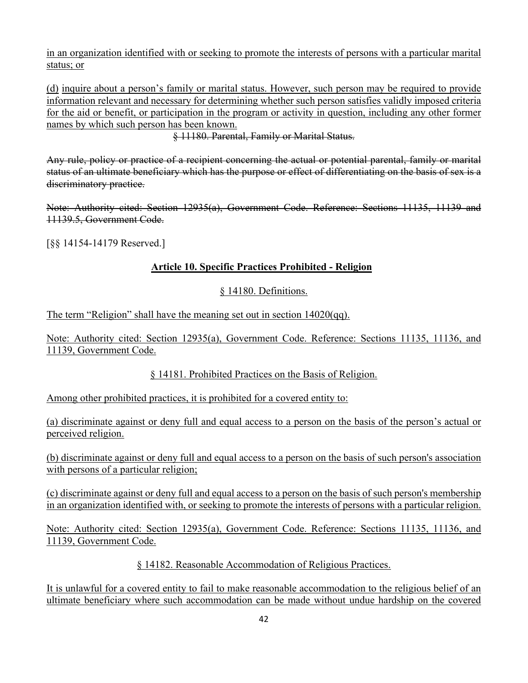in an organization identified with or seeking to promote the interests of persons with a particular marital status; or

(d) inquire about a person's family or marital status. However, such person may be required to provide information relevant and necessary for determining whether such person satisfies validly imposed criteria for the aid or benefit, or participation in the program or activity in question, including any other former names by which such person has been known.

§ 11180. Parental, Family or Marital Status.

Any rule, policy or practice of a recipient concerning the actual or potential parental, family or marital status of an ultimate beneficiary which has the purpose or effect of differentiating on the basis of sex is a discriminatory practice.

Note: Authority cited: Section 12935(a), Government Code. Reference: Sections 11135, 11139 and 11139.5, Government Code.

[§§ 14154-14179 Reserved.]

## **Article 10. Specific Practices Prohibited - Religion**

## § 14180. Definitions.

The term "Religion" shall have the meaning set out in section 14020(qq).

Note: Authority cited: Section 12935(a), Government Code. Reference: Sections 11135, 11136, and 11139, Government Code.

## § 14181. Prohibited Practices on the Basis of Religion.

Among other prohibited practices, it is prohibited for a covered entity to:

(a) discriminate against or deny full and equal access to a person on the basis of the person's actual or perceived religion.

(b) discriminate against or deny full and equal access to a person on the basis of such person's association with persons of a particular religion;

(c) discriminate against or deny full and equal access to a person on the basis of such person's membership in an organization identified with, or seeking to promote the interests of persons with a particular religion.

Note: Authority cited: Section 12935(a), Government Code. Reference: Sections 11135, 11136, and 11139, Government Code.

§ 14182. Reasonable Accommodation of Religious Practices.

It is unlawful for a covered entity to fail to make reasonable accommodation to the religious belief of an ultimate beneficiary where such accommodation can be made without undue hardship on the covered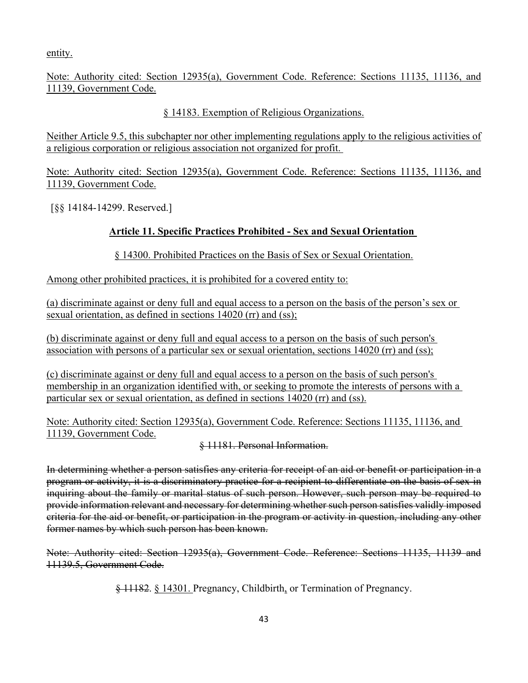entity.

Note: Authority cited: Section 12935(a), Government Code. Reference: Sections 11135, 11136, and 11139, Government Code.

## § 14183. Exemption of Religious Organizations.

Neither Article 9.5, this subchapter nor other implementing regulations apply to the religious activities of a religious corporation or religious association not organized for profit.

Note: Authority cited: Section 12935(a), Government Code. Reference: Sections 11135, 11136, and 11139, Government Code.

[§§ 14184-14299. Reserved.]

## **Article 11. Specific Practices Prohibited - Sex and Sexual Orientation**

§ 14300. Prohibited Practices on the Basis of Sex or Sexual Orientation.

Among other prohibited practices, it is prohibited for a covered entity to:

(a) discriminate against or deny full and equal access to a person on the basis of the person's sex or sexual orientation, as defined in sections 14020 (rr) and (ss);

(b) discriminate against or deny full and equal access to a person on the basis of such person's association with persons of a particular sex or sexual orientation, sections 14020 (rr) and (ss);

(c) discriminate against or deny full and equal access to a person on the basis of such person's membership in an organization identified with, or seeking to promote the interests of persons with a particular sex or sexual orientation, as defined in sections 14020 (rr) and (ss).

Note: Authority cited: Section 12935(a), Government Code. Reference: Sections 11135, 11136, and 11139, Government Code.

§ 11181. Personal Information.

In determining whether a person satisfies any criteria for receipt of an aid or benefit or participation in a program or activity, it is a discriminatory practice for a recipient to differentiate on the basis of sex in inquiring about the family or marital status of such person. However, such person may be required to provide information relevant and necessary for determining whether such person satisfies validly imposed criteria for the aid or benefit, or participation in the program or activity in question, including any other former names by which such person has been known.

Note: Authority cited: Section 12935(a), Government Code. Reference: Sections 11135, 11139 and 11139.5, Government Code.

§ 11182. § 14301. Pregnancy, Childbirth, or Termination of Pregnancy.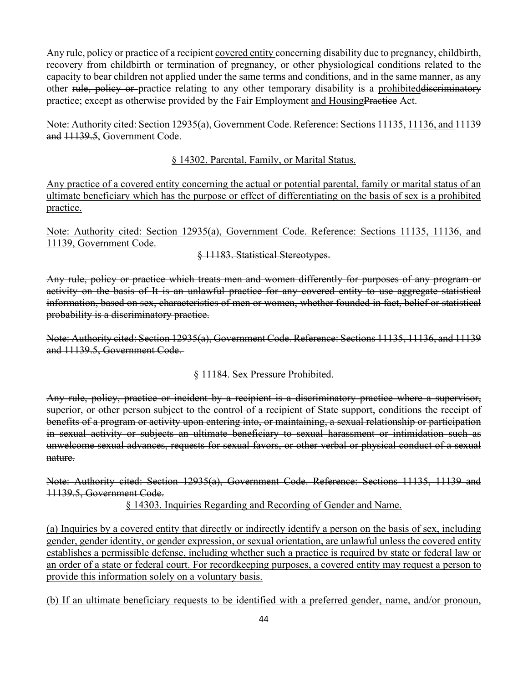Any rule, policy or practice of a recipient covered entity concerning disability due to pregnancy, childbirth, recovery from childbirth or termination of pregnancy, or other physiological conditions related to the capacity to bear children not applied under the same terms and conditions, and in the same manner, as any other rule, policy or practice relating to any other temporary disability is a prohibited discriminatory practice; except as otherwise provided by the Fair Employment and HousingPractice Act.

Note: Authority cited: Section 12935(a), Government Code. Reference: Sections 11135, 11136, and 11139 and 11139.5, Government Code.

#### § 14302. Parental, Family, or Marital Status.

Any practice of a covered entity concerning the actual or potential parental, family or marital status of an ultimate beneficiary which has the purpose or effect of differentiating on the basis of sex is a prohibited practice.

Note: Authority cited: Section 12935(a), Government Code. Reference: Sections 11135, 11136, and 11139, Government Code.

§ 11183. Statistical Stereotypes.

Any rule, policy or practice which treats men and women differently for purposes of any program or activity on the basis of It is an unlawful practice for any covered entity to use aggregate statistical information, based on sex, characteristics of men or women, whether founded in fact, belief or statistical probability is a discriminatory practice.

Note: Authority cited: Section 12935(a), Government Code. Reference: Sections 11135, 11136, and 11139 and 11139.5, Government Code.

§ 11184. Sex Pressure Prohibited.

Any rule, policy, practice or incident by a recipient is a discriminatory practice where a supervisor, superior, or other person subject to the control of a recipient of State support, conditions the receipt of benefits of a program or activity upon entering into, or maintaining, a sexual relationship or participation in sexual activity or subjects an ultimate beneficiary to sexual harassment or intimidation such as unwelcome sexual advances, requests for sexual favors, or other verbal or physical conduct of a sexual nature.

Note: Authority cited: Section 12935(a), Government Code. Reference: Sections 11135, 11139 and 11139.5, Government Code.

§ 14303. Inquiries Regarding and Recording of Gender and Name.

(a) Inquiries by a covered entity that directly or indirectly identify a person on the basis of sex, including gender, gender identity, or gender expression, or sexual orientation, are unlawful unless the covered entity establishes a permissible defense, including whether such a practice is required by state or federal law or an order of a state or federal court. For recordkeeping purposes, a covered entity may request a person to provide this information solely on a voluntary basis.

(b) If an ultimate beneficiary requests to be identified with a preferred gender, name, and/or pronoun,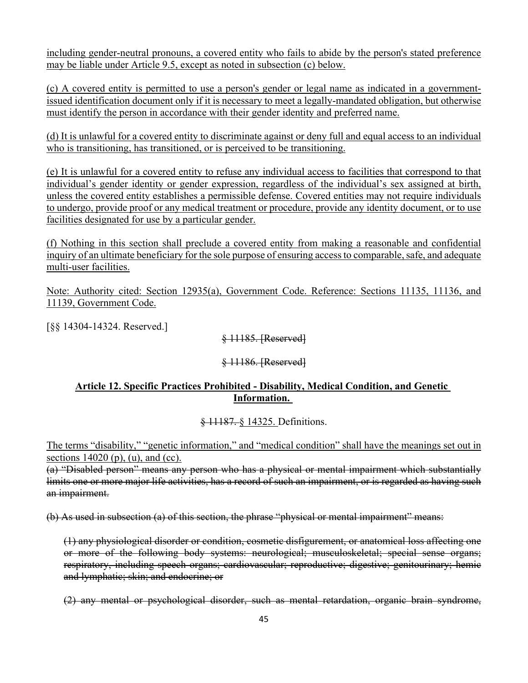including gender-neutral pronouns, a covered entity who fails to abide by the person's stated preference may be liable under Article 9.5, except as noted in subsection (c) below.

(c) A covered entity is permitted to use a person's gender or legal name as indicated in a governmentissued identification document only if it is necessary to meet a legally-mandated obligation, but otherwise must identify the person in accordance with their gender identity and preferred name.

(d) It is unlawful for a covered entity to discriminate against or deny full and equal access to an individual who is transitioning, has transitioned, or is perceived to be transitioning.

(e) It is unlawful for a covered entity to refuse any individual access to facilities that correspond to that individual's gender identity or gender expression, regardless of the individual's sex assigned at birth, unless the covered entity establishes a permissible defense. Covered entities may not require individuals to undergo, provide proof or any medical treatment or procedure, provide any identity document, or to use facilities designated for use by a particular gender.

(f) Nothing in this section shall preclude a covered entity from making a reasonable and confidential inquiry of an ultimate beneficiary for the sole purpose of ensuring access to comparable, safe, and adequate multi-user facilities.

Note: Authority cited: Section 12935(a), Government Code. Reference: Sections 11135, 11136, and 11139, Government Code.

[§§ 14304-14324. Reserved.]

§ 11185. [Reserved]

## § 11186. [Reserved]

## **Article 12. Specific Practices Prohibited - Disability, Medical Condition, and Genetic Information.**

## § 11187. § 14325. Definitions.

The terms "disability," "genetic information," and "medical condition" shall have the meanings set out in sections  $14020$  (p), (u), and (cc).

(a) "Disabled person" means any person who has a physical or mental impairment which substantially limits one or more major life activities, has a record of such an impairment, or is regarded as having such an impairment.

(b) As used in subsection (a) of this section, the phrase "physical or mental impairment" means:

(1) any physiological disorder or condition, cosmetic disfigurement, or anatomical loss affecting one or more of the following body systems: neurological; musculoskeletal; special sense organs; respiratory, including speech organs; cardiovascular; reproductive; digestive; genitourinary; hemic and lymphatic; skin; and endocrine; or

(2) any mental or psychological disorder, such as mental retardation, organic brain syndrome,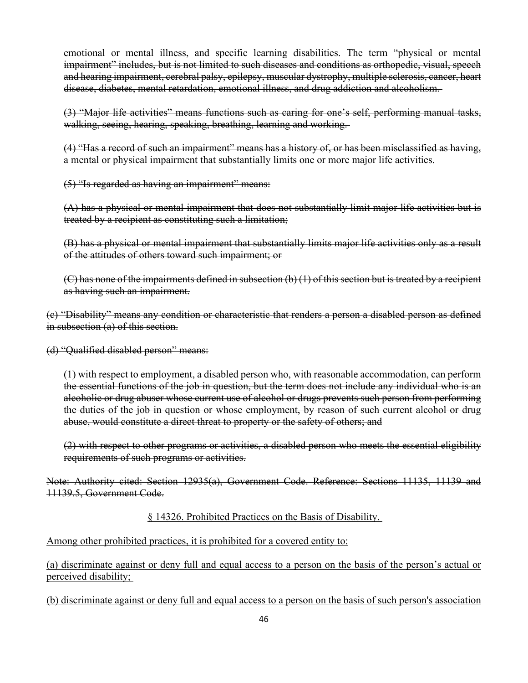emotional or mental illness, and specific learning disabilities. The term "physical or mental impairment" includes, but is not limited to such diseases and conditions as orthopedic, visual, speech and hearing impairment, cerebral palsy, epilepsy, muscular dystrophy, multiple sclerosis, cancer, heart disease, diabetes, mental retardation, emotional illness, and drug addiction and alcoholism.

(3) "Major life activities" means functions such as caring for one's self, performing manual tasks, walking, seeing, hearing, speaking, breathing, learning and working.

(4) "Has a record of such an impairment" means has a history of, or has been misclassified as having, a mental or physical impairment that substantially limits one or more major life activities.

(5) "Is regarded as having an impairment" means:

(A) has a physical or mental impairment that does not substantially limit major life activities but is treated by a recipient as constituting such a limitation;

(B) has a physical or mental impairment that substantially limits major life activities only as a result of the attitudes of others toward such impairment; or

 $(C)$  has none of the impairments defined in subsection  $(b)$  (1) of this section but is treated by a recipient as having such an impairment.

(c) "Disability" means any condition or characteristic that renders a person a disabled person as defined in subsection (a) of this section.

(d) "Qualified disabled person" means:

(1) with respect to employment, a disabled person who, with reasonable accommodation, can perform the essential functions of the job in question, but the term does not include any individual who is an alcoholic or drug abuser whose current use of alcohol or drugs prevents such person from performing the duties of the job in question or whose employment, by reason of such current alcohol or drug abuse, would constitute a direct threat to property or the safety of others; and

(2) with respect to other programs or activities, a disabled person who meets the essential eligibility requirements of such programs or activities.

Note: Authority cited: Section 12935(a), Government Code. Reference: Sections 11135, 11139 and 11139.5, Government Code.

#### § 14326. Prohibited Practices on the Basis of Disability.

Among other prohibited practices, it is prohibited for a covered entity to:

(a) discriminate against or deny full and equal access to a person on the basis of the person's actual or perceived disability;

(b) discriminate against or deny full and equal access to a person on the basis of such person's association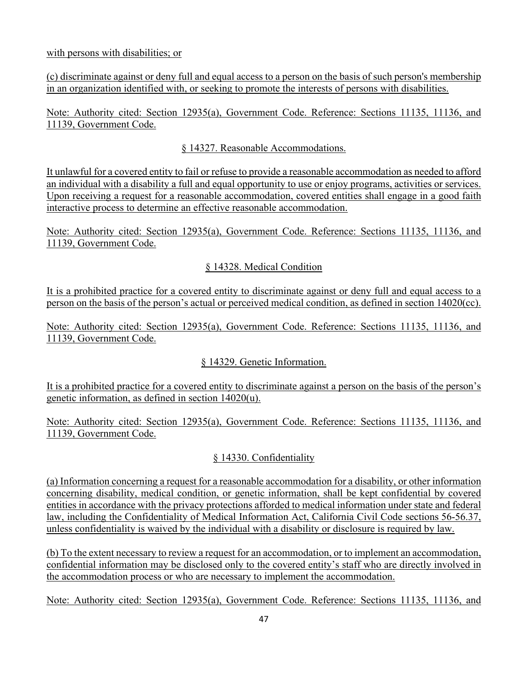with persons with disabilities; or

(c) discriminate against or deny full and equal access to a person on the basis of such person's membership in an organization identified with, or seeking to promote the interests of persons with disabilities.

Note: Authority cited: Section 12935(a), Government Code. Reference: Sections 11135, 11136, and 11139, Government Code.

## § 14327. Reasonable Accommodations.

It unlawful for a covered entity to fail or refuse to provide a reasonable accommodation as needed to afford an individual with a disability a full and equal opportunity to use or enjoy programs, activities or services. Upon receiving a request for a reasonable accommodation, covered entities shall engage in a good faith interactive process to determine an effective reasonable accommodation.

Note: Authority cited: Section 12935(a), Government Code. Reference: Sections 11135, 11136, and 11139, Government Code.

## § 14328. Medical Condition

It is a prohibited practice for a covered entity to discriminate against or deny full and equal access to a person on the basis of the person's actual or perceived medical condition, as defined in section 14020(cc).

Note: Authority cited: Section 12935(a), Government Code. Reference: Sections 11135, 11136, and 11139, Government Code.

## § 14329. Genetic Information.

It is a prohibited practice for a covered entity to discriminate against a person on the basis of the person's genetic information, as defined in section 14020(u).

Note: Authority cited: Section 12935(a), Government Code. Reference: Sections 11135, 11136, and 11139, Government Code.

## § 14330. Confidentiality

(a) Information concerning a request for a reasonable accommodation for a disability, or other information concerning disability, medical condition, or genetic information, shall be kept confidential by covered entities in accordance with the privacy protections afforded to medical information under state and federal law, including the Confidentiality of Medical Information Act, California Civil Code sections 56-56.37, unless confidentiality is waived by the individual with a disability or disclosure is required by law.

(b) To the extent necessary to review a request for an accommodation, or to implement an accommodation, confidential information may be disclosed only to the covered entity's staff who are directly involved in the accommodation process or who are necessary to implement the accommodation.

Note: Authority cited: Section 12935(a), Government Code. Reference: Sections 11135, 11136, and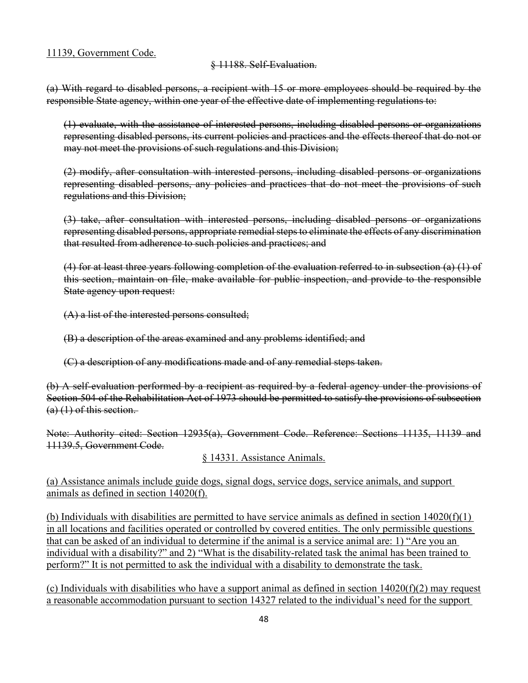#### 11139, Government Code.

#### § 11188. Self-Evaluation.

(a) With regard to disabled persons, a recipient with 15 or more employees should be required by the responsible State agency, within one year of the effective date of implementing regulations to:

(1) evaluate, with the assistance of interested persons, including disabled persons or organizations representing disabled persons, its current policies and practices and the effects thereof that do not or may not meet the provisions of such regulations and this Division;

(2) modify, after consultation with interested persons, including disabled persons or organizations representing disabled persons, any policies and practices that do not meet the provisions of such regulations and this Division;

(3) take, after consultation with interested persons, including disabled persons or organizations representing disabled persons, appropriate remedial steps to eliminate the effects of any discrimination that resulted from adherence to such policies and practices; and

(4) for at least three years following completion of the evaluation referred to in subsection (a) (1) of this section, maintain on file, make available for public inspection, and provide to the responsible State agency upon request:

(A) a list of the interested persons consulted;

(B) a description of the areas examined and any problems identified; and

(C) a description of any modifications made and of any remedial steps taken.

(b) A self-evaluation performed by a recipient as required by a federal agency under the provisions of Section 504 of the Rehabilitation Act of 1973 should be permitted to satisfy the provisions of subsection  $(a)$  (1) of this section.

Note: Authority cited: Section 12935(a), Government Code. Reference: Sections 11135, 11139 and 11139.5, Government Code.

§ 14331. Assistance Animals.

(a) Assistance animals include guide dogs, signal dogs, service dogs, service animals, and support animals as defined in section 14020(f).

(b) Individuals with disabilities are permitted to have service animals as defined in section 14020(f)(1) in all locations and facilities operated or controlled by covered entities. The only permissible questions that can be asked of an individual to determine if the animal is a service animal are: 1) "Are you an individual with a disability?" and 2) "What is the disability-related task the animal has been trained to perform?" It is not permitted to ask the individual with a disability to demonstrate the task.

(c) Individuals with disabilities who have a support animal as defined in section  $14020(f)(2)$  may request a reasonable accommodation pursuant to section 14327 related to the individual's need for the support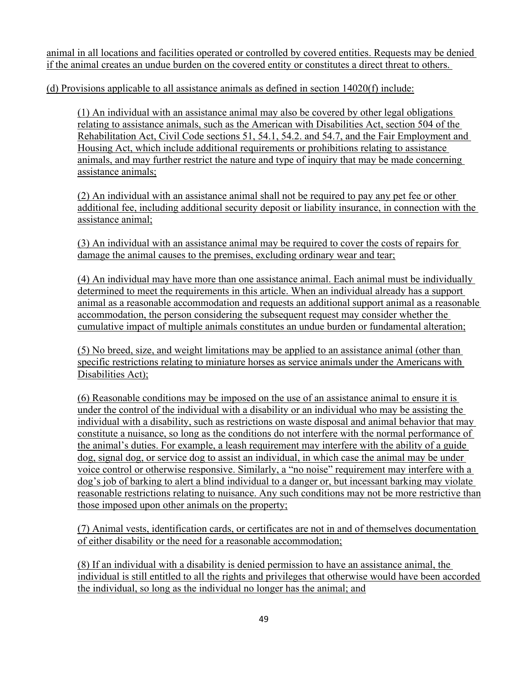animal in all locations and facilities operated or controlled by covered entities. Requests may be denied if the animal creates an undue burden on the covered entity or constitutes a direct threat to others.

(d) Provisions applicable to all assistance animals as defined in section 14020(f) include:

(1) An individual with an assistance animal may also be covered by other legal obligations relating to assistance animals, such as the American with Disabilities Act, section 504 of the Rehabilitation Act, Civil Code sections 51, 54.1, 54.2. and 54.7, and the Fair Employment and Housing Act, which include additional requirements or prohibitions relating to assistance animals, and may further restrict the nature and type of inquiry that may be made concerning assistance animals;

(2) An individual with an assistance animal shall not be required to pay any pet fee or other additional fee, including additional security deposit or liability insurance, in connection with the assistance animal;

(3) An individual with an assistance animal may be required to cover the costs of repairs for damage the animal causes to the premises, excluding ordinary wear and tear;

(4) An individual may have more than one assistance animal. Each animal must be individually determined to meet the requirements in this article. When an individual already has a support animal as a reasonable accommodation and requests an additional support animal as a reasonable accommodation, the person considering the subsequent request may consider whether the cumulative impact of multiple animals constitutes an undue burden or fundamental alteration;

(5) No breed, size, and weight limitations may be applied to an assistance animal (other than specific restrictions relating to miniature horses as service animals under the Americans with Disabilities Act);

(6) Reasonable conditions may be imposed on the use of an assistance animal to ensure it is under the control of the individual with a disability or an individual who may be assisting the individual with a disability, such as restrictions on waste disposal and animal behavior that may constitute a nuisance, so long as the conditions do not interfere with the normal performance of the animal's duties. For example, a leash requirement may interfere with the ability of a guide dog, signal dog, or service dog to assist an individual, in which case the animal may be under voice control or otherwise responsive. Similarly, a "no noise" requirement may interfere with a dog's job of barking to alert a blind individual to a danger or, but incessant barking may violate reasonable restrictions relating to nuisance. Any such conditions may not be more restrictive than those imposed upon other animals on the property;

(7) Animal vests, identification cards, or certificates are not in and of themselves documentation of either disability or the need for a reasonable accommodation;

(8) If an individual with a disability is denied permission to have an assistance animal, the individual is still entitled to all the rights and privileges that otherwise would have been accorded the individual, so long as the individual no longer has the animal; and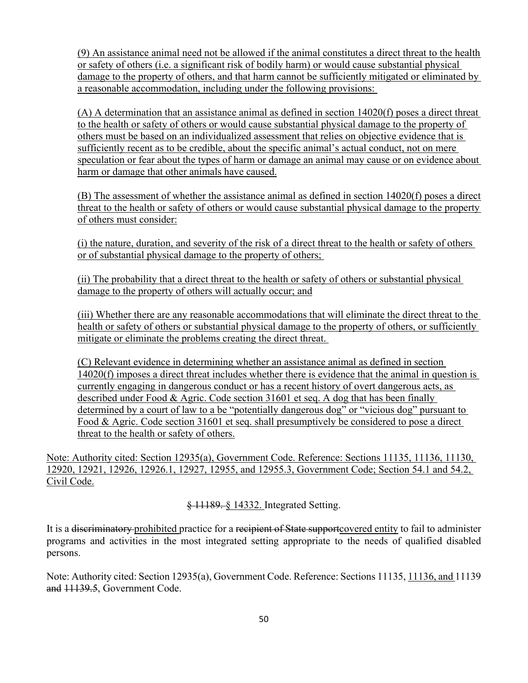(9) An assistance animal need not be allowed if the animal constitutes a direct threat to the health or safety of others (i.e. a significant risk of bodily harm) or would cause substantial physical damage to the property of others, and that harm cannot be sufficiently mitigated or eliminated by a reasonable accommodation, including under the following provisions:

(A) A determination that an assistance animal as defined in section 14020(f) poses a direct threat to the health or safety of others or would cause substantial physical damage to the property of others must be based on an individualized assessment that relies on objective evidence that is sufficiently recent as to be credible, about the specific animal's actual conduct, not on mere speculation or fear about the types of harm or damage an animal may cause or on evidence about harm or damage that other animals have caused.

(B) The assessment of whether the assistance animal as defined in section 14020(f) poses a direct threat to the health or safety of others or would cause substantial physical damage to the property of others must consider:

(i) the nature, duration, and severity of the risk of a direct threat to the health or safety of others or of substantial physical damage to the property of others;

(ii) The probability that a direct threat to the health or safety of others or substantial physical damage to the property of others will actually occur; and

(iii) Whether there are any reasonable accommodations that will eliminate the direct threat to the health or safety of others or substantial physical damage to the property of others, or sufficiently mitigate or eliminate the problems creating the direct threat.

(C) Relevant evidence in determining whether an assistance animal as defined in section 14020(f) imposes a direct threat includes whether there is evidence that the animal in question is currently engaging in dangerous conduct or has a recent history of overt dangerous acts, as described under Food & Agric. Code section 31601 et seq. A dog that has been finally determined by a court of law to a be "potentially dangerous dog" or "vicious dog" pursuant to Food & Agric. Code section 31601 et seq. shall presumptively be considered to pose a direct threat to the health or safety of others.

Note: Authority cited: Section 12935(a), Government Code. Reference: Sections 11135, 11136, 11130, 12920, 12921, 12926, 12926.1, 12927, 12955, and 12955.3, Government Code; Section 54.1 and 54.2, Civil Code.

§ 11189. § 14332. Integrated Setting.

It is a <del>discriminatory</del> prohibited practice for a recipient of State support covered entity to fail to administer programs and activities in the most integrated setting appropriate to the needs of qualified disabled persons.

Note: Authority cited: Section 12935(a), Government Code. Reference: Sections 11135, 11136, and 11139 and 11139.5, Government Code.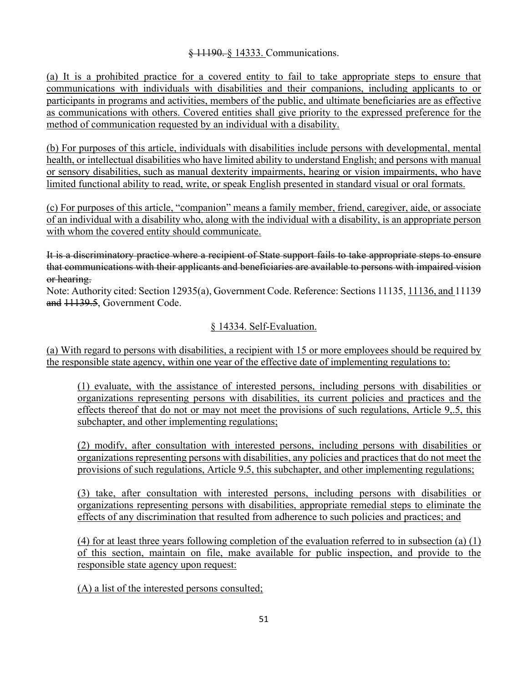#### § 11190. § 14333. Communications.

(a) It is a prohibited practice for a covered entity to fail to take appropriate steps to ensure that communications with individuals with disabilities and their companions, including applicants to or participants in programs and activities, members of the public, and ultimate beneficiaries are as effective as communications with others. Covered entities shall give priority to the expressed preference for the method of communication requested by an individual with a disability.

(b) For purposes of this article, individuals with disabilities include persons with developmental, mental health, or intellectual disabilities who have limited ability to understand English; and persons with manual or sensory disabilities, such as manual dexterity impairments, hearing or vision impairments, who have limited functional ability to read, write, or speak English presented in standard visual or oral formats.

(c) For purposes of this article, "companion" means a family member, friend, caregiver, aide, or associate of an individual with a disability who, along with the individual with a disability, is an appropriate person with whom the covered entity should communicate.

It is a discriminatory practice where a recipient of State support fails to take appropriate steps to ensure that communications with their applicants and beneficiaries are available to persons with impaired vision or hearing.

Note: Authority cited: Section 12935(a), Government Code. Reference: Sections 11135, 11136, and 11139 and 11139.5, Government Code.

#### § 14334. Self-Evaluation.

(a) With regard to persons with disabilities, a recipient with 15 or more employees should be required by the responsible state agency, within one year of the effective date of implementing regulations to:

(1) evaluate, with the assistance of interested persons, including persons with disabilities or organizations representing persons with disabilities, its current policies and practices and the effects thereof that do not or may not meet the provisions of such regulations, Article 9,.5, this subchapter, and other implementing regulations;

(2) modify, after consultation with interested persons, including persons with disabilities or organizations representing persons with disabilities, any policies and practices that do not meet the provisions of such regulations, Article 9.5, this subchapter, and other implementing regulations;

(3) take, after consultation with interested persons, including persons with disabilities or organizations representing persons with disabilities, appropriate remedial steps to eliminate the effects of any discrimination that resulted from adherence to such policies and practices; and

(4) for at least three years following completion of the evaluation referred to in subsection (a) (1) of this section, maintain on file, make available for public inspection, and provide to the responsible state agency upon request:

(A) a list of the interested persons consulted;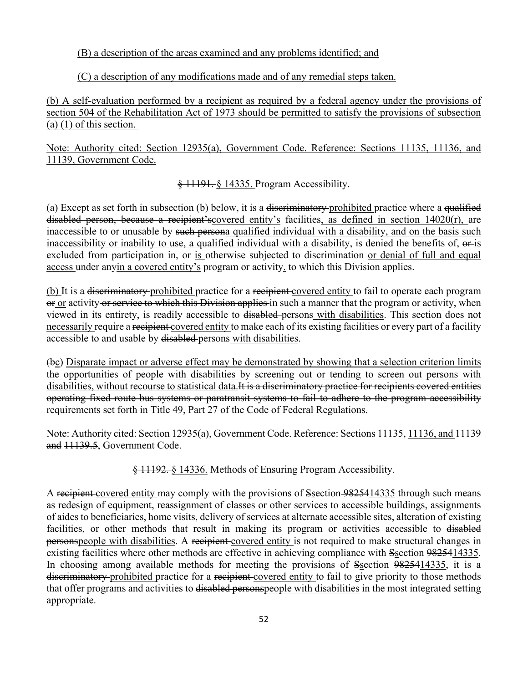(B) a description of the areas examined and any problems identified; and

(C) a description of any modifications made and of any remedial steps taken.

(b) A self-evaluation performed by a recipient as required by a federal agency under the provisions of section 504 of the Rehabilitation Act of 1973 should be permitted to satisfy the provisions of subsection (a) (1) of this section.

Note: Authority cited: Section 12935(a), Government Code. Reference: Sections 11135, 11136, and 11139, Government Code.

§ 11191. § 14335. Program Accessibility.

(a) Except as set forth in subsection (b) below, it is a <del>discriminatory</del> prohibited practice where a qualified disabled person, because a recipient'scovered entity's facilities, as defined in section 14020(r), are inaccessible to or unusable by such persona qualified individual with a disability, and on the basis such inaccessibility or inability to use, a qualified individual with a disability, is denied the benefits of,  $\theta$ -is excluded from participation in, or is otherwise subjected to discrimination or denial of full and equal access under anyin a covered entity's program or activity. to which this Division applies.

(b) It is a <del>discriminatory</del> prohibited practice for a recipient covered entity to fail to operate each program or or activity or service to which this Division applies in such a manner that the program or activity, when viewed in its entirety, is readily accessible to disabled persons with disabilities. This section does not necessarily require a recipient covered entity to make each of its existing facilities or every part of a facility accessible to and usable by disabled persons with disabilities.

(bc) Disparate impact or adverse effect may be demonstrated by showing that a selection criterion limits the opportunities of people with disabilities by screening out or tending to screen out persons with disabilities, without recourse to statistical data. It is a discriminatory practice for recipients covered entities operating fixed route bus systems or paratransit systems to fail to adhere to the program accessibility requirements set forth in Title 49, Part 27 of the Code of Federal Regulations.

Note: Authority cited: Section 12935(a), Government Code. Reference: Sections 11135, 11136, and 11139 and 11139.5, Government Code.

§ 11192. § 14336. Methods of Ensuring Program Accessibility.

A recipient covered entity may comply with the provisions of Ssection 9825414335 through such means as redesign of equipment, reassignment of classes or other services to accessible buildings, assignments of aides to beneficiaries, home visits, delivery of services at alternate accessible sites, alteration of existing facilities, or other methods that result in making its program or activities accessible to disabled personspeople with disabilities. A recipient-covered entity is not required to make structural changes in existing facilities where other methods are effective in achieving compliance with Ssection 9825414335. In choosing among available methods for meeting the provisions of Ssection 9825414335, it is a discriminatory prohibited practice for a recipient-covered entity to fail to give priority to those methods that offer programs and activities to disabled personspeople with disabilities in the most integrated setting appropriate.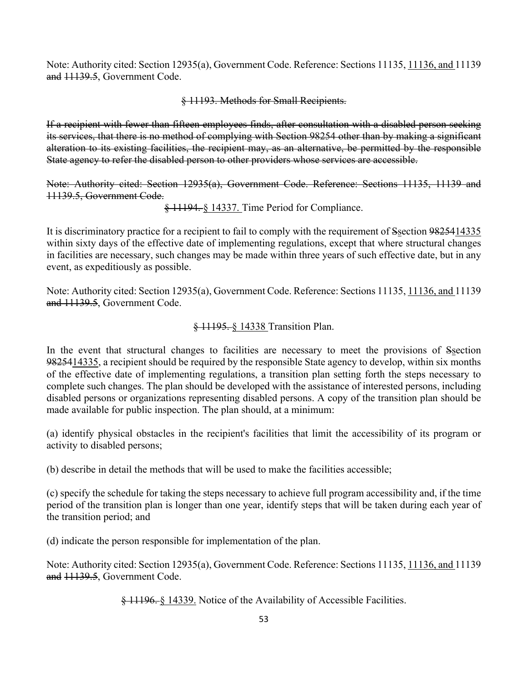Note: Authority cited: Section 12935(a), Government Code. Reference: Sections 11135, 11136, and 11139 and 11139.5, Government Code.

#### § 11193. Methods for Small Recipients.

If a recipient with fewer than fifteen employees finds, after consultation with a disabled person seeking its services, that there is no method of complying with Section 98254 other than by making a significant alteration to its existing facilities, the recipient may, as an alternative, be permitted by the responsible State agency to refer the disabled person to other providers whose services are accessible.

Note: Authority cited: Section 12935(a), Government Code. Reference: Sections 11135, 11139 and 11139.5, Government Code.

§ 11194. § 14337. Time Period for Compliance.

It is discriminatory practice for a recipient to fail to comply with the requirement of Ssection 9825414335 within sixty days of the effective date of implementing regulations, except that where structural changes in facilities are necessary, such changes may be made within three years of such effective date, but in any event, as expeditiously as possible.

Note: Authority cited: Section 12935(a), Government Code. Reference: Sections 11135, 11136, and 11139 and 11139.5, Government Code.

#### § 11195. § 14338 Transition Plan.

In the event that structural changes to facilities are necessary to meet the provisions of Ssection 9825414335, a recipient should be required by the responsible State agency to develop, within six months of the effective date of implementing regulations, a transition plan setting forth the steps necessary to complete such changes. The plan should be developed with the assistance of interested persons, including disabled persons or organizations representing disabled persons. A copy of the transition plan should be made available for public inspection. The plan should, at a minimum:

(a) identify physical obstacles in the recipient's facilities that limit the accessibility of its program or activity to disabled persons;

(b) describe in detail the methods that will be used to make the facilities accessible;

(c) specify the schedule for taking the steps necessary to achieve full program accessibility and, if the time period of the transition plan is longer than one year, identify steps that will be taken during each year of the transition period; and

(d) indicate the person responsible for implementation of the plan.

Note: Authority cited: Section 12935(a), Government Code. Reference: Sections 11135, 11136, and 11139 and 11139.5, Government Code.

§ 11196. § 14339. Notice of the Availability of Accessible Facilities.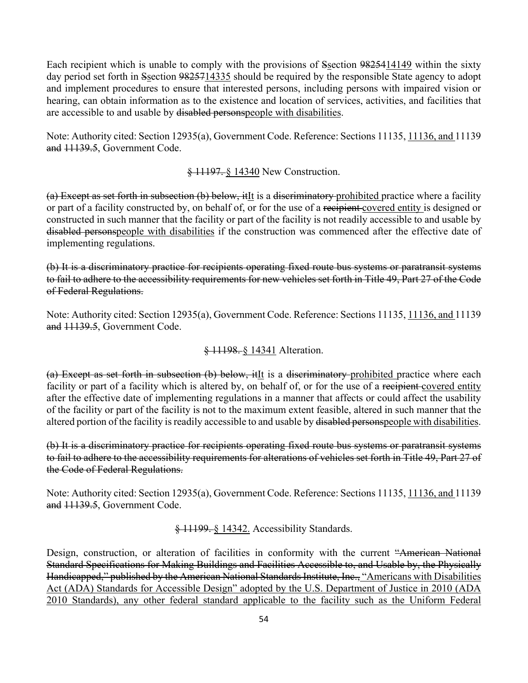Each recipient which is unable to comply with the provisions of Ssection 9825414149 within the sixty day period set forth in Ssection 9825714335 should be required by the responsible State agency to adopt and implement procedures to ensure that interested persons, including persons with impaired vision or hearing, can obtain information as to the existence and location of services, activities, and facilities that are accessible to and usable by disabled personspeople with disabilities.

Note: Authority cited: Section 12935(a), Government Code. Reference: Sections 11135, 11136, and 11139 and 11139.5, Government Code.

§ 11197. § 14340 New Construction.

 $(a)$  Except as set forth in subsection (b) below, ithe is a discriminatory prohibited practice where a facility or part of a facility constructed by, on behalf of, or for the use of a recipient covered entity is designed or constructed in such manner that the facility or part of the facility is not readily accessible to and usable by disabled personspeople with disabilities if the construction was commenced after the effective date of implementing regulations.

(b) It is a discriminatory practice for recipients operating fixed route bus systems or paratransit systems to fail to adhere to the accessibility requirements for new vehicles set forth in Title 49, Part 27 of the Code of Federal Regulations.

Note: Authority cited: Section 12935(a), Government Code. Reference: Sections 11135, 11136, and 11139 and 11139.5, Government Code.

§ 11198. § 14341 Alteration.

(a) Except as set forth in subsection (b) below, itIt is a discriminatory prohibited practice where each facility or part of a facility which is altered by, on behalf of, or for the use of a recipient covered entity after the effective date of implementing regulations in a manner that affects or could affect the usability of the facility or part of the facility is not to the maximum extent feasible, altered in such manner that the altered portion of the facility is readily accessible to and usable by disabled personspeople with disabilities.

(b) It is a discriminatory practice for recipients operating fixed route bus systems or paratransit systems to fail to adhere to the accessibility requirements for alterations of vehicles set forth in Title 49, Part 27 of the Code of Federal Regulations.

Note: Authority cited: Section 12935(a), Government Code. Reference: Sections 11135, 11136, and 11139 and 11139.5, Government Code.

§ 11199. § 14342. Accessibility Standards.

Design, construction, or alteration of facilities in conformity with the current "American National Standard Specifications for Making Buildings and Facilities Accessible to, and Usable by, the Physically Handicapped," published by the American National Standards Institute, Inc., "Americans with Disabilities Act (ADA) Standards for Accessible Design" adopted by the U.S. Department of Justice in 2010 (ADA 2010 Standards), any other federal standard applicable to the facility such as the Uniform Federal